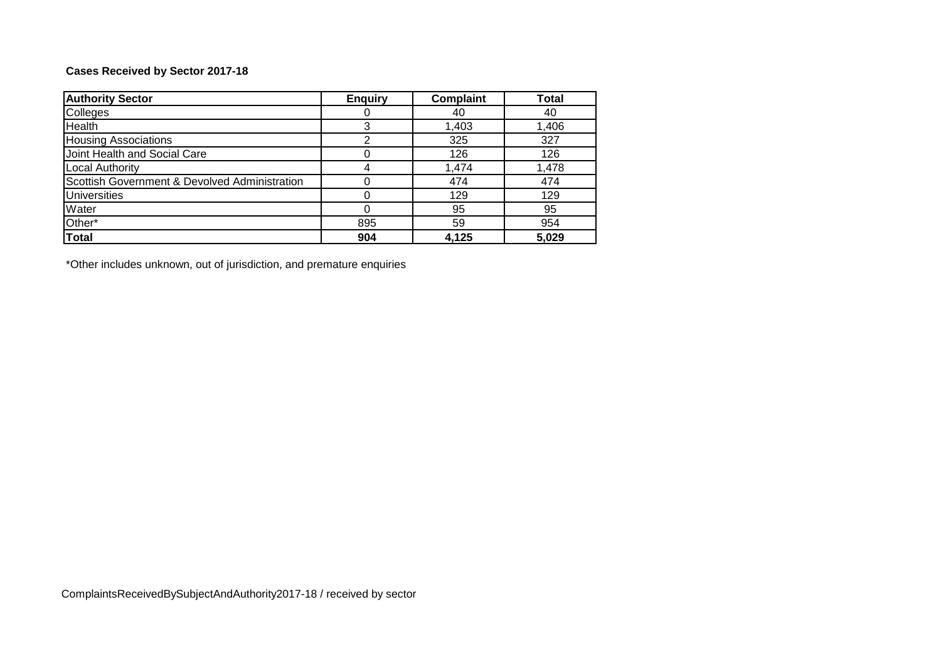# **Cases Received by Sector 2017-18**

| <b>Authority Sector</b>                       | <b>Enquiry</b> | <b>Complaint</b> | <b>Total</b> |
|-----------------------------------------------|----------------|------------------|--------------|
| Colleges                                      |                | 40               | 40           |
| <b>Health</b>                                 | 3              | 1,403            | 1,406        |
| <b>Housing Associations</b>                   |                | 325              | 327          |
| Joint Health and Social Care                  |                | 126              | 126          |
| <b>Local Authority</b>                        | 4              | 1,474            | 1,478        |
| Scottish Government & Devolved Administration |                | 474              | 474          |
| <b>Universities</b>                           |                | 129              | 129          |
| Water                                         |                | 95               | 95           |
| Other*                                        | 895            | 59               | 954          |
| <b>Total</b>                                  | 904            | 4.125            | 5,029        |

\*Other includes unknown, out of jurisdiction, and premature enquiries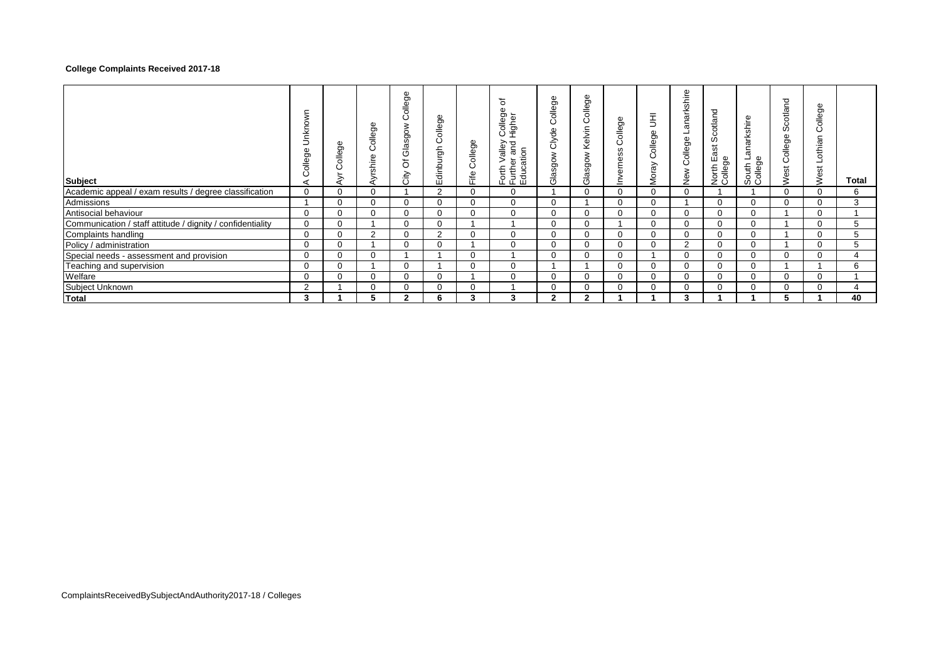## **College Complaints Received 2017-18**

| Subject                                                    | ξ<br>වි<br>ᇹ<br>ィ | ብን<br>ဥ္ပာ<br>≐ | ollege<br>Õ<br>yrshire | ollege<br>Ö<br>Glasgow<br>ð<br>City | College<br>Edinburgh | ollege<br>Ō<br>Fife | ৳<br>Φ<br>College<br>৯<br>흥<br>ਨਾਨ<br>$rac{6}{10}$<br>ਠ<br>σ<br>$\rm{~}$<br>Φ<br>orth<br>モ<br>호 로 링<br>도 모 | 9e<br>$rac{1}{\sigma}$<br>Ö<br>Clyde<br>Glasgow | College<br>Kelvin<br>Glasgow | ჵ<br>$rac{1}{\sqrt{2}}$<br>Ō<br>SS<br>erne<br><u>ځ</u> | 玉<br>ollege<br>ت<br>ray<br>š | arkshire<br>듦<br>த<br>Colleg<br>New | ರ<br>Scotlano<br>ast<br>ш<br>க<br>North<br>Colleg | arkshire<br>రా<br>€<br>Φ<br>흉흥<br>ဖာပ | cotland<br>ഗ<br>College<br>West | ollege<br>Ö<br>othian<br>Nest | Total |
|------------------------------------------------------------|-------------------|-----------------|------------------------|-------------------------------------|----------------------|---------------------|------------------------------------------------------------------------------------------------------------|-------------------------------------------------|------------------------------|--------------------------------------------------------|------------------------------|-------------------------------------|---------------------------------------------------|---------------------------------------|---------------------------------|-------------------------------|-------|
| Academic appeal / exam results / degree classification     | 0                 |                 | 0                      |                                     | 2                    |                     | 0                                                                                                          |                                                 | 0                            |                                                        | $\mathbf 0$                  | 0                                   |                                                   |                                       |                                 | $\mathbf 0$                   | 6     |
| Admissions                                                 |                   | $\Omega$        | $\Omega$               |                                     | $\Omega$             | $\Omega$            | $\Omega$                                                                                                   |                                                 |                              | $\Omega$                                               | $\mathbf 0$                  |                                     | $\Omega$                                          | $\Omega$                              | $\Omega$                        | $\Omega$                      | 3     |
| Antisocial behaviour                                       | $\Omega$          |                 | 0                      |                                     | 0                    |                     | $\Omega$                                                                                                   |                                                 | 0                            |                                                        | $\mathbf 0$                  | 0                                   | 0                                                 | $\Omega$                              |                                 | 0                             |       |
| Communication / staff attitude / dignity / confidentiality | $\mathbf 0$       |                 |                        |                                     | 0                    |                     |                                                                                                            |                                                 | 0                            |                                                        | $\mathbf 0$                  | 0                                   | 0                                                 | 0                                     |                                 | $\mathbf 0$                   | 5     |
| Complaints handling                                        | 0                 |                 | $\overline{2}$         |                                     | 2                    |                     | $\Omega$                                                                                                   | U                                               | 0                            |                                                        | $\mathbf 0$                  | 0                                   | 0                                                 | $\Omega$                              |                                 | $\Omega$                      | 5     |
| Policy / administration                                    | $\Omega$          |                 |                        |                                     | $\Omega$             |                     | $\Omega$                                                                                                   | 0                                               | $\Omega$                     |                                                        | $\mathbf 0$                  | $\overline{2}$                      | 0                                                 | $\Omega$                              |                                 | $\Omega$                      | 5     |
| Special needs - assessment and provision                   | $\Omega$          |                 | $\Omega$               |                                     |                      | $\Omega$            |                                                                                                            |                                                 | $\Omega$                     |                                                        |                              | 0                                   | 0                                                 | $\Omega$                              |                                 | $\Omega$                      | 4     |
| Teaching and supervision                                   | $\Omega$          |                 |                        |                                     |                      |                     | $\Omega$                                                                                                   |                                                 |                              |                                                        | $\mathbf 0$                  | 0                                   | 0                                                 | $\Omega$                              |                                 |                               | 6     |
| Welfare                                                    | $\Omega$          |                 | $\mathbf 0$            |                                     | 0                    |                     | $\Omega$                                                                                                   |                                                 | 0                            |                                                        | $\mathbf 0$                  | 0                                   | 0                                                 | $\Omega$                              | $\Omega$                        | 0                             |       |
| Subject Unknown                                            | 2                 |                 | $\mathbf 0$            |                                     | 0                    |                     |                                                                                                            | . .                                             | 0                            |                                                        | $\mathbf 0$                  | 0                                   | 0                                                 | $\Omega$                              |                                 | $\Omega$                      |       |
| <b>Total</b>                                               | 3                 |                 | 5                      | 2                                   | 6                    | 3                   | 3                                                                                                          | 2                                               | 2                            |                                                        |                              | 3                                   |                                                   |                                       |                                 |                               | 40    |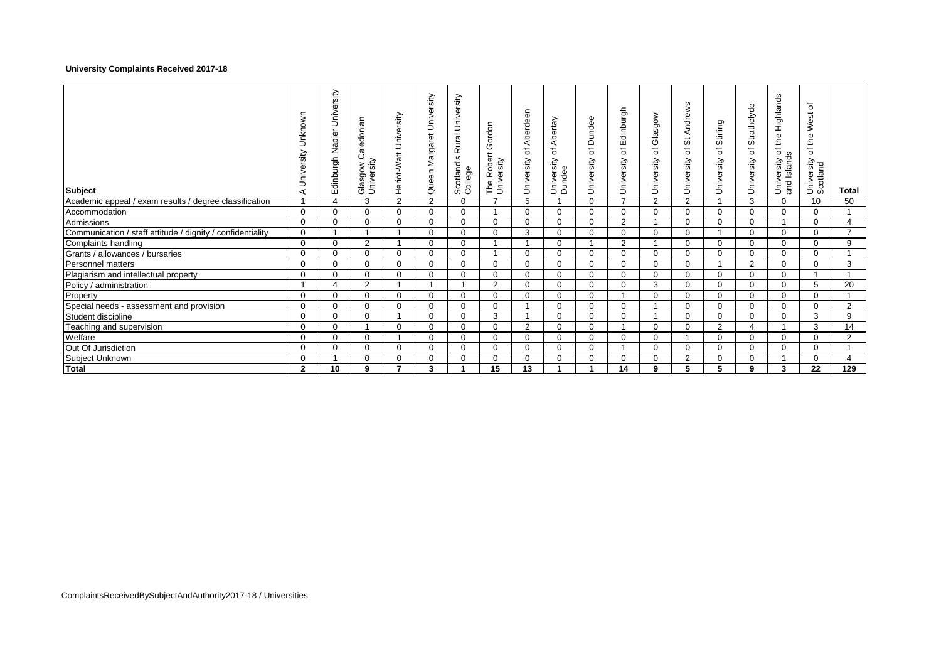## **University Complaints Received 2017-18**

| <b>Subject</b>                                             | Unknown<br>University<br>⋖ | University<br>Edinburgh Napier | Caledonian<br>Glasgow C<br>University | Heriot-Watt University | Queen Margaret University | University<br>ural<br>$\propto$<br>Scotland's<br>College | Gordon<br>The Robert<br>University | Aberdeen<br>$\overline{\mathsf{o}}$<br>University | Abertay<br>$\rm \overline{o}$<br>University<br>Dundee | Dundee<br>$\overline{\circ}$<br>University | Edinburgh<br>đ<br>University | Glasgow<br>৳<br>University | Andrews<br>ö<br>$\overline{\mathrm{o}}$<br>University | Stirling<br>đ<br>University | Strathclyde<br>$\overline{\mathsf{o}}$<br>University | Highlands<br>the<br>đ<br>Islands<br>University<br>and | ৳<br>West<br>the<br>$\overline{\sigma}$<br>University<br>Scotland | <b>Total</b>             |
|------------------------------------------------------------|----------------------------|--------------------------------|---------------------------------------|------------------------|---------------------------|----------------------------------------------------------|------------------------------------|---------------------------------------------------|-------------------------------------------------------|--------------------------------------------|------------------------------|----------------------------|-------------------------------------------------------|-----------------------------|------------------------------------------------------|-------------------------------------------------------|-------------------------------------------------------------------|--------------------------|
| Academic appeal / exam results / degree classification     |                            | 4                              | 3                                     | $\overline{2}$         | 2                         | $\mathbf 0$                                              | $\overline{7}$                     | 5                                                 |                                                       | $\Omega$                                   | $\overline{7}$               | 2                          | 2                                                     |                             | 3                                                    | $\Omega$                                              | 10                                                                | 50                       |
| Accommodation                                              | 0                          | 0                              | 0                                     | $\mathbf 0$            | 0                         | $\mathbf 0$                                              |                                    | $\mathbf 0$                                       | $\Omega$                                              | $\Omega$                                   | 0                            | $\Omega$                   | $\Omega$                                              | $\Omega$                    | 0                                                    | 0                                                     | 0                                                                 |                          |
| Admissions                                                 | $\Omega$                   | $\Omega$                       | $\Omega$                              | $\Omega$               | $\Omega$                  | $\Omega$                                                 | $\Omega$                           | $\Omega$                                          | $\Omega$                                              | $\Omega$                                   | 2                            |                            | $\Omega$                                              | $\Omega$                    | $\Omega$                                             |                                                       | $\Omega$                                                          | 4                        |
| Communication / staff attitude / dignity / confidentiality | 0                          |                                |                                       |                        | $\mathbf 0$               | $\Omega$                                                 | $\mathbf 0$                        | 3                                                 | $\Omega$                                              | $\Omega$                                   | $\Omega$                     | $\Omega$                   | $\Omega$                                              |                             | $\Omega$                                             | $\Omega$                                              | 0                                                                 | $\overline{\phantom{a}}$ |
| Complaints handling                                        | 0                          | 0                              | $\overline{2}$                        |                        | $\mathbf 0$               | $\mathbf 0$                                              |                                    |                                                   | $\Omega$                                              |                                            | 2                            |                            | $\Omega$                                              | $\Omega$                    | $\Omega$                                             | 0                                                     | 0                                                                 | 9                        |
| Grants / allowances / bursaries                            | 0                          | 0                              | $\mathbf 0$                           | $\Omega$               | $\mathbf 0$               | $\mathbf 0$                                              |                                    | $\Omega$                                          | $\Omega$                                              | $\Omega$                                   | $\Omega$                     | $\Omega$                   | $\Omega$                                              | $\Omega$                    | $\Omega$                                             | $\Omega$                                              | 0                                                                 |                          |
| Personnel matters                                          | $\Omega$                   | 0                              | $\Omega$                              | $\Omega$               | $\mathbf 0$               | $\Omega$                                                 | $\mathbf 0$                        | $\Omega$                                          | $\Omega$                                              | $\Omega$                                   | $\Omega$                     | $\Omega$                   | $\Omega$                                              |                             | 2                                                    | $\Omega$                                              | 0                                                                 | 3                        |
| Plagiarism and intellectual property                       | $\Omega$                   | 0                              | $\Omega$                              | $\Omega$               | $\mathbf 0$               | $\Omega$                                                 | $\mathbf 0$                        | $\Omega$                                          | $\Omega$                                              | $\Omega$                                   | $\Omega$                     | $\Omega$                   | $\Omega$                                              | $\Omega$                    | $\Omega$                                             | $\Omega$                                              |                                                                   |                          |
| Policy / administration                                    |                            | $\Delta$                       | 2                                     |                        |                           |                                                          | 2                                  | $\Omega$                                          | $\Omega$                                              | $\Omega$                                   | $\Omega$                     | 3                          | $\Omega$                                              | $\Omega$                    | $\Omega$                                             | $\Omega$                                              | 5                                                                 | 20                       |
| Property                                                   | $\Omega$                   | 0                              | $\mathbf 0$                           | $\Omega$               | $\mathbf 0$               | $\mathbf 0$                                              | $\mathbf{0}$                       | $\Omega$                                          | $\Omega$                                              | $\Omega$                                   |                              | $\Omega$                   | $\Omega$                                              | $\Omega$                    | $\Omega$                                             | $\Omega$                                              | $\Omega$                                                          |                          |
| Special needs - assessment and provision                   | $\Omega$                   | $\Omega$                       | $\Omega$                              | $\Omega$               | $\mathbf 0$               | $\Omega$                                                 | $\mathbf 0$                        |                                                   | $\Omega$                                              | $\Omega$                                   | $\Omega$                     |                            | $\Omega$                                              | $\Omega$                    | $\Omega$                                             | $\Omega$                                              | 0                                                                 | $\overline{2}$           |
| Student discipline                                         | 0                          | 0                              | $\Omega$                              |                        | $\mathbf 0$               | $\Omega$                                                 | 3                                  |                                                   | $\Omega$                                              | $\Omega$                                   | $\Omega$                     |                            | $\Omega$                                              | $\Omega$                    | $\Omega$                                             | 0                                                     | 3                                                                 | 9                        |
| Teaching and supervision                                   | $\Omega$                   | $\Omega$                       |                                       | $\Omega$               | $\Omega$                  | $\Omega$                                                 | $\mathbf{0}$                       | 2                                                 | $\Omega$                                              | $\Omega$                                   |                              | $\Omega$                   | $\Omega$                                              | 2                           | 4                                                    |                                                       | 3                                                                 | 14                       |
| Welfare                                                    | 0                          | 0                              | $\mathbf 0$                           |                        | $\mathbf 0$               | $\mathbf 0$                                              | $\mathbf{0}$                       | $\Omega$                                          | $\Omega$                                              | $\Omega$                                   | $\Omega$                     | $\Omega$                   |                                                       | $\Omega$                    | $\Omega$                                             | 0                                                     | 0                                                                 | $\overline{2}$           |
| Out Of Jurisdiction                                        | 0                          | 0                              | $\mathbf 0$                           | $\Omega$               | $\mathbf 0$               | $\mathbf 0$                                              | $\mathbf 0$                        | $\Omega$                                          | $\Omega$                                              | $\Omega$                                   |                              | $\Omega$                   | $\Omega$                                              | $\Omega$                    | $\Omega$                                             | 0                                                     | 0                                                                 |                          |
| Subject Unknown                                            | 0                          |                                | $\mathbf 0$                           | $\Omega$               | $\mathbf 0$               | $\mathbf 0$                                              | $\mathbf{0}$                       | $\mathbf 0$                                       | $\Omega$                                              | $\Omega$                                   | $\mathbf 0$                  | $\Omega$                   | 2                                                     | $\Omega$                    | 0                                                    |                                                       | 0                                                                 | 4                        |
| Total                                                      | $\mathbf{2}$               | 10                             | 9                                     | 7                      | 3                         |                                                          | 15                                 | 13                                                |                                                       |                                            | 14                           | 9                          | 5                                                     | 5                           | 9                                                    | 3                                                     | 22                                                                | 129                      |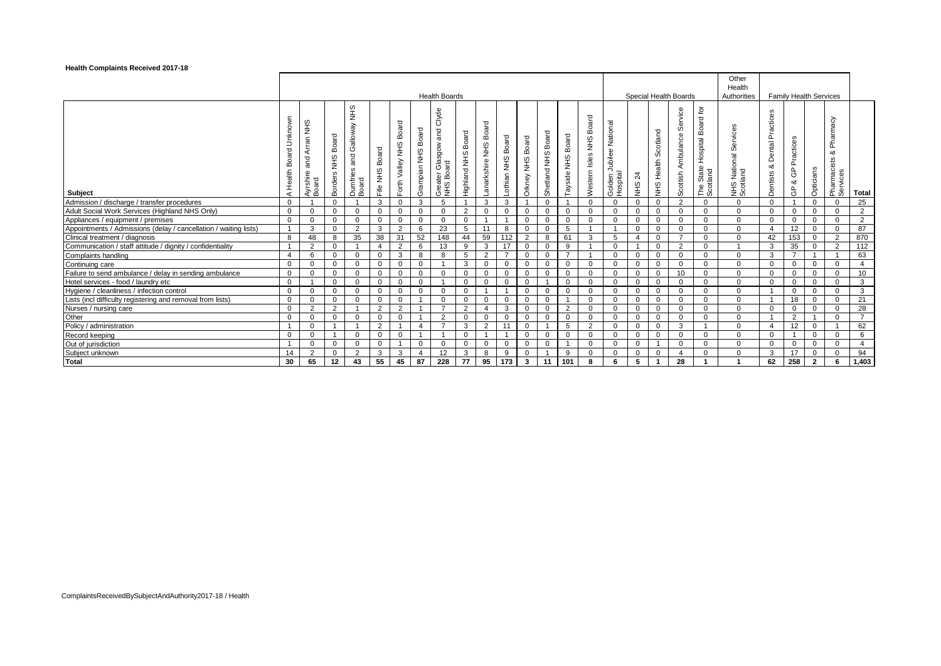#### **Health Complaints Received 2017-18**

|                                                                  |                                 |                                                  |                                |                                             |                             |                                       |                          | <b>Health Boards</b>                                 |                            |                            |                                |                               |                                  |                         |                               |                                             |                              |                          | Special Health Boards                   |                                                                    | Other<br>Health<br>Authorities             |                                             |                                                   | <b>Family Health Services</b> |                                               |                |
|------------------------------------------------------------------|---------------------------------|--------------------------------------------------|--------------------------------|---------------------------------------------|-----------------------------|---------------------------------------|--------------------------|------------------------------------------------------|----------------------------|----------------------------|--------------------------------|-------------------------------|----------------------------------|-------------------------|-------------------------------|---------------------------------------------|------------------------------|--------------------------|-----------------------------------------|--------------------------------------------------------------------|--------------------------------------------|---------------------------------------------|---------------------------------------------------|-------------------------------|-----------------------------------------------|----------------|
| <b>Subject</b>                                                   | Unknown<br>Board<br>Health<br>⊄ | ၯ<br>Ë<br>Arran<br>and<br>yrshire<br>oard<br>∢−− | Board<br>SHN<br><b>Borders</b> | SHR<br>Galloway<br>and<br>Dumfries<br>Board | Board<br>$rac{2}{5}$<br>e∦⊺ | Board<br><b>SHN</b><br>Valley<br>orth | Board<br>SHR<br>Grampian | Clyde<br>and<br>Glasgow<br>Greater Glas<br>NHS Board | Board<br>SHR<br>Highland I | Board<br>SHN<br>anarkshire | Board<br>$rac{9}{2}$<br>othian | Board<br><b>SHR</b><br>Orkney | Board<br>$rac{9}{2}$<br>Shetland | Board<br>SHR<br>Tayside | Board<br>SHN<br>Nestern Isles | National<br>ubilee<br>Golden Ju<br>Hospital | $\overline{z}$<br><b>SHA</b> | Scotland<br>Health<br>ΨŞ | vice<br>ਨ<br>ഗ<br>Ambulance<br>Scottish | $\mathsf{\tilde{p}}$<br>Board<br>Hospital<br>The State<br>Scotland | vice:<br>Ser<br>NHS National S<br>Scotland | ctices<br>ēم<br>Dental<br>య<br>entists<br>Ā | Practices<br>$\frac{\rho}{\mathcal{O}}$<br>ಯ<br>க | Opticians                     | Pharmacy<br>య<br>sts<br>Pharmacis<br>Services | <b>Total</b>   |
| Admission / discharge / transfer procedures                      | $\Omega$                        |                                                  | 0                              |                                             | 3                           | $\mathbf{0}$                          | 3                        | 5                                                    |                            | 3                          | 3                              |                               | $\Omega$                         |                         | $\mathbf 0$                   | $\Omega$                                    | $\mathbf{0}$                 | $\mathbf 0$              | 2                                       | $\mathbf{0}$                                                       | $\Omega$                                   | $\Omega$                                    |                                                   | $\mathbf 0$                   |                                               | 25             |
| Adult Social Work Services (Highland NHS Only)                   | 0                               | $\Omega$                                         | 0                              | $\mathbf{0}$                                | 0                           | $\mathbf{0}$                          | 0                        |                                                      | 2                          | 0                          | 0                              |                               | $\Omega$                         | $\Omega$                | $\mathbf 0$                   |                                             | $\mathbf{0}$                 | $\mathbf{0}$             | $\Omega$                                | $\mathbf{0}$                                                       | $\mathbf 0$                                | $\mathbf 0$                                 | 0                                                 | $\mathbf 0$                   | 0                                             | $\overline{2}$ |
| Appliances / equipment / premises                                | $\Omega$                        | $\Omega$                                         | 0                              | $\Omega$                                    | $\Omega$                    | $\mathbf{0}$                          | $\mathbf 0$              | $\Omega$                                             | $\Omega$                   |                            |                                | $\Omega$                      | $\Omega$                         | $\Omega$                | $\Omega$                      | $\Omega$                                    | 0                            | $\Omega$                 | $\Omega$                                | $\Omega$                                                           | 0                                          | $\Omega$                                    | 0                                                 | $\Omega$                      | $\Omega$                                      | $\overline{2}$ |
| Appointments / Admissions (delay / cancellation / waiting lists) |                                 | 3                                                | $\Omega$                       | 2                                           | 3                           | 2                                     | 6                        | 23                                                   | 5                          | 11                         | 8                              |                               | $\Omega$                         | 5                       |                               |                                             | $\mathbf{0}$                 | $\mathbf 0$              | $\Omega$                                | $\Omega$                                                           | $\Omega$                                   | $\overline{\mathbf{4}}$                     | 12                                                | $\Omega$                      | $\Omega$                                      | 87             |
| Clinical treatment / diagnosis                                   | 8                               | 48                                               | 8                              | 35                                          | 38                          | 31                                    | 52                       | 148                                                  | 44                         | 59                         | 112                            | 2                             | 8                                | 61                      | 3                             | 5                                           | $\overline{4}$               | $\Omega$                 | $\overline{7}$                          | $\Omega$                                                           | $\Omega$                                   | 42                                          | 153                                               | $\mathbf 0$                   | $\overline{2}$                                | 870            |
| Communication / staff attitude / dignity / confidentiality       |                                 | 2                                                | 0                              |                                             | $\Delta$                    | 2                                     | 6                        | 13                                                   | 9                          | 3                          | 17                             |                               | $\Omega$                         | 9                       |                               |                                             |                              | $\mathbf 0$              | 2                                       | $\Omega$                                                           |                                            | 3                                           | 35                                                | $\Omega$                      | $\overline{2}$                                | 112            |
| Complaints handling                                              | $\overline{4}$                  | 6                                                | 0                              | $\Omega$                                    | $\Omega$                    | 3                                     | 8                        | 8                                                    | 5                          | 2                          | $\overline{ }$                 | ŋ                             | $\Omega$                         | $\overline{7}$          |                               | $\Omega$                                    | 0                            | $\Omega$                 | $\Omega$                                | $\Omega$                                                           | 0                                          | 3                                           | $\overline{7}$                                    |                               | $\overline{1}$                                | 63             |
| Continuing care                                                  | $\Omega$                        | $\Omega$                                         | 0                              | $\Omega$                                    | $\Omega$                    | $\Omega$                              | $\mathbf{0}$             |                                                      | 3                          | $\mathbf{0}$               | $\Omega$                       | $\Omega$                      | $\Omega$                         | $\Omega$                | $\Omega$                      | $\Omega$                                    | $\mathbf{0}$                 | $\mathbf 0$              | $\Omega$                                | $\Omega$                                                           | $\Omega$                                   | $\Omega$                                    | $\Omega$                                          | $\Omega$                      | $\Omega$                                      | $\overline{4}$ |
| Failure to send ambulance / delay in sending ambulance           | 0                               | $\Omega$                                         | 0                              | $\Omega$                                    | $\Omega$                    | $\mathbf{0}$                          | $\mathbf 0$              | $\Omega$                                             | $\Omega$                   | $\mathbf 0$                | $\Omega$                       |                               | $\Omega$                         | $\Omega$                | $\Omega$                      |                                             | $\mathbf{0}$                 | $\mathbf 0$              | 10                                      | $\Omega$                                                           | $\Omega$                                   | $\Omega$                                    | $\Omega$                                          | $\mathbf 0$                   | $\Omega$                                      | 10             |
| Hotel services - food / laundry etc                              | $\mathbf 0$                     |                                                  | 0                              | $\Omega$                                    | $\Omega$                    | $\Omega$                              | $\Omega$                 |                                                      | 0                          | 0                          | $\Omega$                       |                               |                                  | $\Omega$                | $\Omega$                      |                                             | 0                            | $\mathbf 0$              | $\Omega$                                | $\Omega$                                                           | $\Omega$                                   | $\Omega$                                    | $\Omega$                                          | $\Omega$                      | $\Omega$                                      | 3              |
| Hygiene / cleanliness / infection control                        | $\mathbf 0$                     | $\Omega$                                         | 0                              | $\Omega$                                    | $\Omega$                    | 0                                     | $\mathbf 0$              |                                                      | $\mathbf{0}$               |                            |                                | $\Omega$                      | $\Omega$                         | $\Omega$                | $\Omega$                      |                                             | $\mathbf{0}$                 | $\mathbf 0$              | $\Omega$                                | $\mathbf 0$                                                        | 0                                          | $\overline{1}$                              | $\mathbf 0$                                       | $\mathbf{0}$                  | $\Omega$                                      | 3              |
| Lists (incl difficulty registering and removal from lists)       | $\Omega$                        | $\Omega$                                         | 0                              | $\Omega$                                    | $\Omega$                    | 0                                     |                          |                                                      | $\mathbf 0$                | $\mathbf 0$                | $\mathbf 0$                    |                               | $\Omega$                         |                         | $\Omega$                      | $\Omega$                                    | $\mathbf 0$                  | $\mathbf 0$              | $\Omega$                                | $\mathbf 0$                                                        | 0                                          | $\overline{1}$                              | 18                                                | $\mathbf{0}$                  | $\Omega$                                      | 21             |
| Nurses / nursing care                                            | $\mathbf 0$                     | $\overline{2}$                                   | $\overline{2}$                 |                                             | $\overline{2}$              | 2                                     |                          |                                                      | $\overline{2}$             | $\overline{4}$             | 3                              |                               | $\Omega$                         | 2                       | $\mathbf 0$                   |                                             | $\mathbf{0}$                 | $\mathbf 0$              | $\Omega$                                | $\mathbf 0$                                                        | 0                                          | $\mathbf 0$                                 | $\mathbf 0$                                       | $\mathbf 0$                   | $\mathbf 0$                                   | 28             |
| Other                                                            | $\Omega$                        | $\Omega$                                         | 0                              | $\Omega$                                    | $\mathbf 0$                 | $\mathbf 0$                           |                          | 2                                                    | $\mathbf 0$                | $\mathbf 0$                | $\Omega$                       |                               | $\Omega$                         | $\Omega$                | $\Omega$                      |                                             | $\mathbf 0$                  | $\mathbf 0$              | $\Omega$                                | $\Omega$                                                           | $\mathbf 0$                                | $\overline{1}$                              | 2                                                 |                               | $\Omega$                                      |                |
| Policy / administration                                          |                                 | $\overline{0}$                                   |                                |                                             | $\overline{2}$              |                                       | $\overline{\mathbf{4}}$  | -                                                    | 3                          | 2                          | 11                             | $\Omega$                      |                                  | 5                       | $\overline{2}$                |                                             | $\mathbf 0$                  | $\mathbf 0$              | 3                                       |                                                                    | $\mathbf 0$                                | $\overline{4}$                              | 12                                                | $\mathbf{0}$                  | -1                                            | 62             |
| Record keeping                                                   | $\Omega$                        | $\Omega$                                         |                                | $\Omega$                                    | $\mathbf 0$                 | $\mathbf 0$                           |                          |                                                      | $\mathbf 0$                |                            |                                | $\Omega$                      | $\Omega$                         | $\Omega$                | $\mathbf 0$                   | $\Omega$                                    | $\mathbf 0$                  | $\mathbf 0$              | $\Omega$                                | $\mathbf 0$                                                        | $\Omega$                                   | $\mathbf 0$                                 |                                                   | $\mathbf 0$                   | $\Omega$                                      | 6              |
| Out of jurisdiction                                              |                                 | $\Omega$                                         | 0                              | $\mathbf 0$                                 | $\mathbf 0$                 |                                       | $\mathbf 0$              |                                                      | $\mathbf 0$                | $\mathbf 0$                | $\mathbf 0$                    |                               | $\Omega$                         |                         | $\mathbf 0$                   |                                             | 0                            |                          | $\mathbf 0$                             | $\mathbf 0$                                                        | $\mathbf 0$                                | $\mathbf 0$                                 | 0                                                 | $\mathbf 0$                   | $\mathbf 0$                                   |                |
| Subject unknown                                                  | 14                              | $\overline{2}$                                   | 0                              | 2                                           | 3                           | 3                                     |                          | 12                                                   | 3                          | 8                          | 9                              |                               |                                  | 9                       | $\mathbf 0$                   | $\Omega$                                    | $\mathbf 0$                  | $\mathbf 0$              |                                         | 0                                                                  | 0                                          | 3                                           | 17                                                | $\mathbf 0$                   | $\Omega$                                      | 94             |
| <b>Total</b>                                                     | 30                              | 65                                               | $12 \,$                        | 43                                          | 55                          | 45                                    | 87                       | 228                                                  | 77                         | 95                         | 173                            | 3                             | 11                               | 101                     | 8                             | 6                                           | 5                            | -1                       | 28                                      |                                                                    | $\overline{\phantom{a}}$                   | 62                                          | 258                                               | $\overline{2}$                | 6                                             | 1,403          |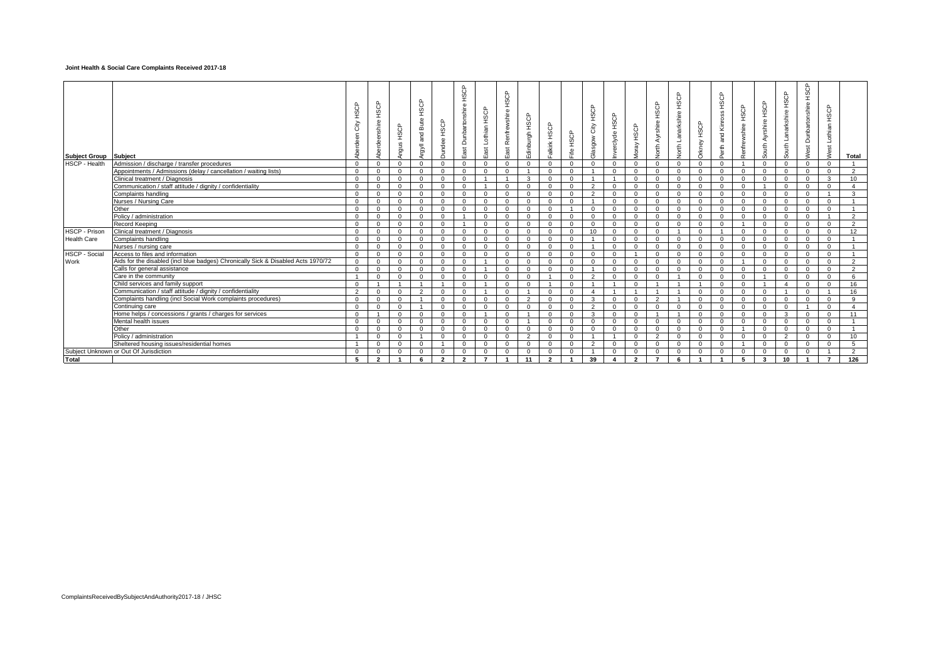#### **Joint Health & Social Care Complaints Received 2017-18**

| <b>Subject Group</b> | <b>Subject</b>                                                                    | $\left($<br>£  | HSCP<br>$\Phi$<br>inshir<br>Aberdee | HSCP<br>Angus  | HSCP<br><b>Bute</b><br>ng<br>Ta<br>llvBu | HSCP<br>Dundee | HSCP<br>Dunbartonshire<br>East | Lothian HSCP<br>East | HSCP<br>Renfrewshire<br>East | Edinburgh HSCP | Falkirk HSCP   | HSCP<br>$=$    | HSCP<br>City<br>Glasgow | HSCP<br>nverclyde      | Moray HSCP     | НSCP<br>Ayrshire<br><b>Sort</b> | HSCP<br><b>Jorth Lanarkshire</b> | HSCP<br>Orkney | HSCP<br>and Kinross<br>Perth | Renfrewshire HSCP | South Ayrshire HSCP | Lanarkshire HSCP<br>South | HSCP<br><b>Nest Dunbartonshire</b> | Lothian HSCP<br>Nest | Total          |
|----------------------|-----------------------------------------------------------------------------------|----------------|-------------------------------------|----------------|------------------------------------------|----------------|--------------------------------|----------------------|------------------------------|----------------|----------------|----------------|-------------------------|------------------------|----------------|---------------------------------|----------------------------------|----------------|------------------------------|-------------------|---------------------|---------------------------|------------------------------------|----------------------|----------------|
| <b>HSCP - Health</b> | Admission / discharge / transfer procedures                                       | $\mathbf{0}$   | $\mathbf 0$                         | $\mathbf{0}$   | $\mathbf{0}$                             | $\mathbf{0}$   | $\mathbf{0}$                   | $\mathbf{0}$         | $\mathbf{0}$                 | $\mathbf{0}$   | $\mathbf{0}$   | $\mathbf{0}$   | $\mathbf 0$             | $\mathbf{0}$           | $\mathbf{0}$   | 0                               | $\mathbf 0$                      | $\mathbf{0}$   | $\mathbf{0}$                 |                   | $\mathbf{0}$        | $\mathbf{0}$              | $\overline{0}$                     | $\mathbf{0}$         |                |
|                      | Appointments / Admissions (delay / cancellation / waiting lists)                  | $\mathbf{0}$   | $\mathbf 0$                         | $\mathbf 0$    | $\mathbf{0}$                             | $\mathbf{0}$   | $\mathbf{0}$                   | $\mathbf{0}$         | $\mathbf{0}$                 | $\overline{1}$ | $\mathbf{0}$   | $\mathbf{0}$   | $\overline{1}$          | $\mathbf{0}$           | $\mathbf{0}$   | $\mathbf{0}$                    | $\mathbf{0}$                     | $\mathbf{0}$   | $\mathbf{0}$                 | $\mathbf{0}$      | $\mathbf{0}$        | $\mathbf{0}$              | $\overline{0}$                     | $\overline{0}$       | $\overline{2}$ |
|                      | Clinical treatment / Diagnosis                                                    | $\Omega$       | $^{\circ}$                          | $\mathbf{0}$   | $\mathbf{0}$                             | $\mathbf{0}$   | $\mathbf{0}$                   | $\overline{1}$       | $\overline{1}$               | $\mathbf{3}$   | $\mathbf{0}$   | $\mathbf{0}$   | $\mathbf{1}$            | $\overline{1}$         | $\mathbf{0}$   | $\mathbf{0}$                    | $\mathbf{0}$                     | $\mathbf{0}$   | $\mathbf{0}$                 | $\overline{0}$    | $\overline{0}$      | $\overline{0}$            | $\overline{0}$                     | $\mathbf{3}$         | 10             |
|                      | Communication / staff attitude / dignity / confidentiality                        | $\Omega$       | $^{\circ}$                          | $\mathbf{0}$   | $\mathbf{0}$                             | $\mathbf{0}$   | $\mathbf{0}$                   | $\overline{1}$       | $\mathbf{0}$                 | $\Omega$       | $\Omega$       | $\Omega$       | 2                       | $\mathbf{0}$           | $\Omega$       | $\mathbf{0}$                    | $\mathbf{0}$                     | $\Omega$       | $\Omega$                     | $\Omega$          | $\overline{1}$      | $\overline{0}$            | $\overline{0}$                     | $\Omega$             | $\overline{4}$ |
|                      | Complaints handling                                                               | $\Omega$       | $\Omega$                            | $\mathbf{0}$   | $\mathbf{0}$                             | $\mathbf{0}$   | $\mathbf{0}$                   | $\mathbf{0}$         | $\mathbf{0}$                 | $\mathbf{0}$   | $\mathbf{0}$   | $\Omega$       | $\overline{2}$          | $\mathbf{0}$           | $\mathbf{0}$   | $\mathbf{0}$                    | $\mathbf{0}$                     | $\Omega$       | $\Omega$                     | $\mathbf{0}$      | $\mathbf{0}$        | $\overline{0}$            | $\overline{0}$                     |                      | $\overline{3}$ |
|                      | Nurses / Nursing Care                                                             | $\mathbf{0}$   | $\mathbf 0$                         | $\mathbf{0}$   | $\mathbf{0}$                             | $\mathbf{0}$   | $\mathbf{0}$                   | $\mathbf{0}$         | $\mathbf{0}$                 | $\mathbf{0}$   | $\mathbf{0}$   | $\mathbf 0$    | $\overline{1}$          | $\mathbf{0}$           | $\mathbf{0}$   | $\mathbf{0}$                    | $\mathbf{0}$                     | $\mathbf{0}$   | $\mathbf{0}$                 | $\mathbf{0}$      | $\mathbf{0}$        | $\overline{0}$            | $\overline{0}$                     | $\overline{0}$       |                |
|                      | Other                                                                             | $\Omega$       | $\overline{0}$                      | $\overline{0}$ | $\mathbf{0}$                             | $\mathbf{0}$   | $\mathbf{0}$                   | $\mathbf{0}$         | $\mathbf{0}$                 | $\mathbf{0}$   | $\mathbf{0}$   | $\overline{1}$ | $\mathbf{0}$            | $\mathbf{0}$           | $\mathbf{0}$   | $\mathbf{0}$                    | $\mathbf{0}$                     | $\mathbf{0}$   | $\mathbf{0}$                 | $\mathbf{0}$      | $\overline{0}$      | $\overline{0}$            | $\overline{0}$                     | $\mathbf{0}$         |                |
|                      | Policy / administration                                                           | $\Omega$       | $^{\circ}$                          | $\overline{0}$ | $\mathbf{0}$                             | $\mathbf{0}$   | $\mathbf{1}$                   | $\mathbf{0}$         | $\mathbf{0}$                 | $\mathbf{0}$   | $\mathbf{0}$   | $\Omega$       | $\mathbf{0}$            | $\mathbf{0}$           | $\overline{0}$ | $\mathbf{0}$                    | $\mathbf{0}$                     | $\overline{0}$ | $\mathbf{0}$                 | $\mathbf{0}$      | $\mathbf{0}$        | $\overline{0}$            | $\overline{0}$                     | $\overline{1}$       | $\overline{2}$ |
|                      | Record Keeping                                                                    | $^{\circ}$     | $^{\circ}$                          | $\mathbf{0}$   | $\mathbf{0}$                             | $\mathbf{0}$   | $\mathbf{1}$                   | $\mathbf{0}$         | $\mathbf{0}$                 | $\mathbf{0}$   | $\mathbf{0}$   | $\mathbf{0}$   | $\mathbf{0}$            | $\mathbf{0}$           | $\overline{0}$ | $\overline{0}$                  | $\mathbf{0}$                     | $\mathbf{0}$   | $\mathbf{0}$                 | $\overline{1}$    | $\mathbf{0}$        | $\overline{0}$            | $\overline{0}$                     | $\overline{0}$       | $\overline{2}$ |
| <b>HSCP - Prison</b> | Clinical treatment / Diagnosis                                                    | $^{\circ}$     | $^{\circ}$                          | $\mathbf{0}$   | $\mathbf{0}$                             | $\mathbf{0}$   | $\mathbf{0}$                   | $\mathbf{0}$         | $\mathbf{0}$                 | $\mathbf{0}$   | $\mathbf{0}$   | $\mathbf{0}$   | 10                      | $\mathbf{0}$           | $\mathbf{0}$   | $\mathbf{0}$                    |                                  | $\mathbf{0}$   |                              | $\overline{0}$    | $\mathbf{0}$        | $\mathbf{0}$              | $\overline{0}$                     | $\overline{0}$       | 12             |
| <b>Health Care</b>   | Complaints handling                                                               | $\Omega$       | $\Omega$                            | $\mathbf{0}$   | $\mathbf{0}$                             | $\mathbf{0}$   | $\mathbf{0}$                   | $\mathbf{0}$         | $\mathbf{0}$                 | $\mathbf{0}$   | $\mathbf{0}$   | $\mathbf{0}$   | $\overline{1}$          | $\mathbf{0}$           | $\mathbf{0}$   | $\mathbf{0}$                    | $\mathbf{0}$                     | $\mathbf{0}$   | $\mathbf{0}$                 | $\overline{0}$    | $\mathbf{0}$        | $\mathbf{0}$              | $\overline{0}$                     | $\overline{0}$       |                |
|                      | Nurses / nursing care                                                             | $\Omega$       | $\Omega$                            | $\Omega$       | $\Omega$                                 | $\Omega$       | $\Omega$                       | $\Omega$             | $\Omega$                     | $\Omega$       | $\Omega$       | $\Omega$       | $\mathbf{1}$            | $\Omega$               | $\Omega$       | $\Omega$                        | $\Omega$                         | $\Omega$       | $\Omega$                     | $\Omega$          | $\Omega$            | $\Omega$                  | $\Omega$                           | $\Omega$             |                |
| <b>HSCP - Social</b> | Access to files and information                                                   | $\Omega$       | $\Omega$                            | $\Omega$       | $\Omega$                                 | $\Omega$       | $\Omega$                       | $\Omega$             | $\Omega$                     | $\Omega$       | $\Omega$       | $\Omega$       | $\Omega$                | $\Omega$               | $\overline{1}$ | $\Omega$                        | $\Omega$                         | $\Omega$       | $\Omega$                     | $\Omega$          | $\Omega$            | $\Omega$                  | $\Omega$                           | $\Omega$             |                |
| Work                 | Aids for the disabled (incl blue badges) Chronically Sick & Disabled Acts 1970/72 | $\Omega$       | $\Omega$                            | $\Omega$       | $\Omega$                                 | $\Omega$       | $\Omega$                       | $\overline{1}$       | $\Omega$                     | $\Omega$       | $\Omega$       | $\Omega$       | $\Omega$                | $\Omega$               | $\Omega$       | $\Omega$                        | $\Omega$                         | $\Omega$       | $\Omega$                     | $\overline{1}$    | $\Omega$            | $\Omega$                  | $\Omega$                           | $\Omega$             | $\overline{2}$ |
|                      | Calls for general assistance                                                      | $\Omega$       | $\Omega$                            | $\Omega$       | $\Omega$                                 | $\Omega$       | $\Omega$                       | $\overline{1}$       | $\Omega$                     | $\Omega$       | $\Omega$       | $\Omega$       | $\mathbf{1}$            | $\Omega$               | $\Omega$       | $\Omega$                        | $\Omega$                         | $\Omega$       | $\Omega$                     | $\Omega$          | $\Omega$            | $\Omega$                  | $\Omega$                           | $\Omega$             | $\overline{2}$ |
|                      | Care in the community                                                             | $\overline{1}$ | $\Omega$                            | $\Omega$       | $\Omega$                                 | $\Omega$       | $\Omega$                       | $\Omega$             | $\Omega$                     | $\Omega$       | $\overline{1}$ | $\Omega$       | 2                       | $\Omega$               | $\Omega$       | $\Omega$                        | $\overline{A}$                   | $\Omega$       | $\Omega$                     | $\Omega$          | $\overline{1}$      | $\Omega$                  | $\Omega$                           | $\Omega$             | -6             |
|                      | Child services and family support                                                 | $\Omega$       | $\overline{1}$                      | $\overline{1}$ | $\overline{1}$                           | $\overline{1}$ | $\Omega$                       | $\overline{1}$       | $\Omega$                     | $\Omega$       | $\overline{1}$ | $\Omega$       | $\mathbf{1}$            | $\overline{A}$         | $\Omega$       |                                 |                                  |                | $\Omega$                     | $\Omega$          | $\overline{1}$      | $\overline{a}$            | $\Omega$                           | $\Omega$             | 16             |
|                      | Communication / staff attitude / dignity / confidentiality                        | $\overline{2}$ | $\Omega$                            | $\Omega$       | $\overline{2}$                           | $\Omega$       | $\Omega$                       | $\overline{1}$       | $\Omega$                     | $\overline{1}$ | $\Omega$       | $\Omega$       | $\overline{4}$          | $\overline{A}$         | $\mathbf{A}$   |                                 |                                  | $\Omega$       | $\Omega$                     | $\Omega$          | $\Omega$            | $\overline{1}$            | $\Omega$                           | $\overline{1}$       | 16             |
|                      | Complaints handling (incl Social Work complaints procedures)                      | $\Omega$       | $\Omega$                            | $\Omega$       | $\overline{1}$                           | $\Omega$       | $\Omega$                       | $\Omega$             | $\Omega$                     | $\overline{2}$ | $\Omega$       | $\Omega$       | $\mathbf{3}$            | $\Omega$               | $\Omega$       | 2                               |                                  | $\Omega$       | $\Omega$                     | $\Omega$          | $\Omega$            | $\Omega$                  | $\Omega$                           | $\Omega$             | 9              |
|                      | Continuing care                                                                   | $\Omega$       | $\Omega$                            | $\Omega$       | $\overline{1}$                           | $\Omega$       | $\Omega$                       | $\Omega$             | $\Omega$                     | $\Omega$       | $\Omega$       | $\Omega$       | 2                       | $\Omega$               | $\Omega$       | $\Omega$                        | $\Omega$                         | $\Omega$       | $\Omega$                     | $\Omega$          | $\Omega$            | $\Omega$                  | $\sim$                             | $\Omega$             | $\overline{4}$ |
|                      | Home helps / concessions / grants / charges for services                          | $\Omega$       | $\overline{1}$                      | $\Omega$       | $\Omega$                                 | $\Omega$       | $\Omega$                       | $\overline{1}$       | $\Omega$                     | $\overline{1}$ | $\Omega$       | $\Omega$       | $\mathbf{3}$            | $\Omega$               | $\Omega$       | $\overline{A}$                  | $\overline{A}$                   | $\Omega$       | $\Omega$                     | $\Omega$          | $\Omega$            | $\mathbf{3}$              | $\Omega$                           | $\Omega$             | 11             |
|                      | Mental health issues                                                              | $\Omega$       | $\Omega$                            | $\Omega$       | $\Omega$                                 | $\Omega$       | $\Omega$                       | $\Omega$             | $\Omega$                     | $\overline{1}$ | $\Omega$       | $\Omega$       | $\Omega$                | $\Omega$               | $\Omega$       | $\Omega$                        | $\Omega$                         | $\Omega$       | $\Omega$                     | $\Omega$          | $\Omega$            | $\Omega$                  | $\Omega$                           | $\Omega$             |                |
|                      | Other                                                                             | $\Omega$       | $\Omega$                            | $^{\circ}$     | $\mathbf{0}$                             | $\mathbf{0}$   | $\Omega$                       | $\Omega$             | $\mathbf{0}$                 | $\mathbf{0}$   | $\mathbf{0}$   | $\mathbf{0}$   | $\mathbf{0}$            | $\mathbf{0}$           | $\mathbf{0}$   | $\mathbf{0}$                    | $\mathbf{0}$                     | $\mathbf{0}$   | $\mathbf{0}$                 | $\overline{1}$    | $\overline{0}$      | $\mathbf{0}$              | $\overline{0}$                     | $\overline{0}$       | $\overline{1}$ |
|                      | Policy / administration                                                           | $\overline{1}$ | $\Omega$                            | $^{\circ}$     | $\mathbf{1}$                             | $\mathbf{0}$   | $\Omega$                       | $\mathbf{0}$         | $\mathbf{0}$                 | 2              | $\mathbf{0}$   | $\mathbf{0}$   | $\mathbf{1}$            | $\blacktriangleleft$   | $\mathbf{0}$   | 2                               | $\mathbf{0}$                     | $\mathbf{0}$   | $\mathbf{0}$                 | $\mathbf{0}$      | $\mathbf{0}$        | 2                         | $\overline{0}$                     | $\overline{0}$       | 10             |
|                      | Sheltered housing issues/residential homes                                        |                | $\Omega$                            | $^{\circ}$     | $\mathbf{0}$                             | $\mathbf{1}$   | $\Omega$                       | $\mathbf{0}$         | $\mathbf{0}$                 | $\mathbf{0}$   | $\mathbf{0}$   | $\mathbf{0}$   | $\overline{2}$          | $\mathbf{0}$           | $\mathbf{0}$   | $\mathbf{0}$                    | $\mathbf{0}$                     | $\mathbf{0}$   | $\mathbf{0}$                 | $\mathbf{1}$      | $\mathbf{0}$        | $\mathbf{0}$              | $\overline{0}$                     | $\overline{0}$       | 5              |
|                      | Subject Unknown or Out Of Jurisdiction                                            | $\Omega$       | $\Omega$                            | $\Omega$       | $\Omega$                                 | $\Omega$       | $\Omega$                       | $\Omega$             | $\Omega$                     | $\Omega$       | $\Omega$       | $\Omega$       | $\mathbf{1}$            | $\Omega$               | $\Omega$       | $\Omega$                        | $\Omega$                         | $\Omega$       | $\Omega$                     | $\mathbf{0}$      | $\Omega$            | $\mathbf{0}$              | $\Omega$                           | $\overline{1}$       | $\overline{2}$ |
| Total                |                                                                                   |                | $\mathbf{\Omega}$                   |                |                                          | $\cdot$        | $\cdot$                        | $\overline{ }$       |                              | 11             | $\cdot$        |                | 39                      | $\boldsymbol{\Lambda}$ | $\overline{2}$ | $\overline{ }$                  |                                  |                |                              | 5                 | ર                   | 10                        |                                    | $\overline{ }$       | 126            |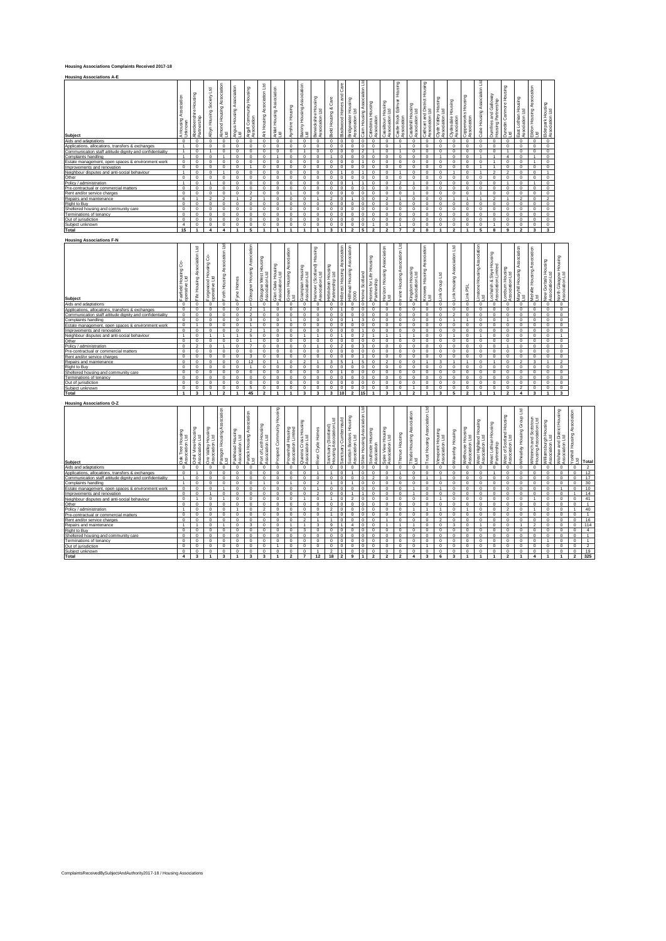## **Housing Associations Complaints Received 2017-18**

| <b>Housing Associations A-E</b>                          |                          |                                                                       |                                   |                                                 |                                             |                                                 |                                  |                                                     |                  |                                       |                                         |                                 |                             |                                                              |                                       |                                        |                                                                     |                                                           |                    |                                                                 |                                               |                                            |                                            |                                                |                                                   |                                              |                                                |                                                    |                                      |
|----------------------------------------------------------|--------------------------|-----------------------------------------------------------------------|-----------------------------------|-------------------------------------------------|---------------------------------------------|-------------------------------------------------|----------------------------------|-----------------------------------------------------|------------------|---------------------------------------|-----------------------------------------|---------------------------------|-----------------------------|--------------------------------------------------------------|---------------------------------------|----------------------------------------|---------------------------------------------------------------------|-----------------------------------------------------------|--------------------|-----------------------------------------------------------------|-----------------------------------------------|--------------------------------------------|--------------------------------------------|------------------------------------------------|---------------------------------------------------|----------------------------------------------|------------------------------------------------|----------------------------------------------------|--------------------------------------|
| <b>Subject</b>                                           | Association<br>A Housing | Housing<br>nshire<br>ship<br>$\overline{\Phi}$<br>Aberdee<br>Partners | Ed<br>Society<br>Housing<br>Albyn | ciation<br>Asso<br>۵ū<br>Housi<br>Almond<br>Lid | ciation<br>Asso<br>Housing.<br>Angus<br>Lid | Housing<br>Community I<br>Ō<br>Argyll<br>Associ | E<br>Association<br>Housing<br>ž | ation<br><b>Associa</b><br>Housing<br>Arklet<br>Lid | Ayrshire Housing | sociation<br>Housing<br>Barony<br>Ltd | Housing<br>td<br>wickshire<br>à.<br>- S | Care<br>œ<br>Housing<br>Bield I | Care<br>Blackwood Homes and | Housing<br>$\mathbb{E}$<br><b>Bridgewater</b><br>Association | Ε<br>ciation<br>Asso<br>Cairn Housing | Housing<br>aledonia<br>ssociation<br>y | tousing<br>Ltd<br>ssiltoun H<br>sociation I<br>ğ<br>$\ddot{\alpha}$ | Housing<br>Edinvar<br>istle Rock<br>$\ddot{\alpha}$<br>s, | Castlehill Housing | Housing<br>trict<br>d<br>Dist<br>Cathcart and<br>Association Lt | using<br>운 모<br>Clyde Valley<br>Association L | Housing<br><b>Jydesdale</b><br>Association | Housing<br>opperworks I<br>ssociation<br>L | $\mathbb{E}$<br>Association<br>Housing<br>Cube | Galloway<br>and Gallone<br>Jumfries<br>using<br>₽ | 5<br>Housi<br>Canmore<br>วินทอdin (<br>- เช่ | Housing<br>.td<br>othian<br>iation L<br>∍<br>ä | iation<br>Associ<br>Eildon Housing <i>i</i><br>Ltd | Elderpark Housing<br>Association Ltd |
| Aids and adaptations                                     | $\mathbf 0$              | $\mathbf 0$                                                           | $\mathbf 0$                       | $\mathbf 0$                                     | $\mathbf 0$                                 | $\mathbf 0$                                     | $\mathbf 0$                      | $\mathbf 0$                                         | $\mathbf 0$      | $\mathbf 0$                           | $\Omega$                                | $\Omega$                        | $\circ$                     | 0                                                            | $\Omega$                              |                                        | ŋ                                                                   | $\mathbf 0$                                               | $^{\circ}$         | $\Omega$                                                        | $^{\circ}$                                    | $\Omega$                                   | n                                          | $\Omega$                                       | $\circ$                                           | $^{\circ}$                                   | $^{\circ}$                                     | $\circ$                                            | 0                                    |
| Applications, allocations, transfers & exchanges         |                          | $\Omega$                                                              | $\Omega$                          | $\Omega$                                        | $\Omega$                                    | $\Omega$                                        | $\Omega$                         | $\Omega$                                            | $\Omega$         | $\Omega$                              | $\Omega$                                | $\Omega$                        | $\Omega$                    | $\Omega$                                                     |                                       |                                        |                                                                     |                                                           | $\Omega$           | $\Omega$                                                        | $\Omega$                                      | $\Omega$                                   |                                            |                                                | $\Omega$                                          | $\Omega$                                     | $\Omega$                                       | $\Omega$                                           | $\Omega$                             |
| Communication staff attitude dignity and confidentiality |                          | $^{\circ}$                                                            |                                   | $\circ$                                         | $\mathbf 0$                                 | $\mathbf 0$                                     | $\mathbf 0$                      | $\mathbf 0$                                         | $\mathbf 0$      |                                       | $\mathbf 0$                             | $\Omega$                        | $\overline{0}$              | $\Omega$                                                     | $\overline{2}$                        |                                        | ŋ                                                                   |                                                           | $\Omega$           | $\Omega$                                                        | $\Omega$                                      | $\Omega$                                   | n                                          | $\Omega$                                       | $\Omega$                                          |                                              | $\mathbf 0$                                    | $\mathbf 0$                                        | $\mathbf 0$                          |
| Complaints handling                                      |                          | $\mathbf 0$                                                           | $\mathbf 0$                       |                                                 | $\Omega$                                    | $\Omega$                                        | $\Omega$                         |                                                     | $\Omega$         | $\Omega$                              | $\Omega$                                |                                 | $\circ$                     | $\Omega$                                                     |                                       |                                        |                                                                     | $\Omega$                                                  | $\Omega$           | $\Omega$                                                        |                                               | $\Omega$                                   | n                                          |                                                |                                                   |                                              | $\mathbf 0$                                    |                                                    | $\Omega$                             |
| Estate management, open spaces & environment work        | $\circ$                  | $\mathbf 0$                                                           | $\mathbf 0$                       | $\mathbf 0$                                     | $\mathbf 0$                                 | $\mathbf 0$                                     | $\mathbf 0$                      | $\mathbf 0$                                         | $\mathbf 0$      | $\mathbf 0$                           | $\Omega$                                | $\mathbf 0$                     | $\overline{0}$              | $\circ$                                                      |                                       |                                        |                                                                     | $\Omega$                                                  | $\Omega$           | $\Omega$                                                        | $\Omega$                                      | $\mathbf 0$                                |                                            |                                                |                                                   | $\circ$                                      | $\mathbf 0$                                    |                                                    | $\mathbf 0$                          |
| Improvements and renovation                              | $\Omega$                 | $\mathbf 0$                                                           | $\mathbf 0$                       | $\mathbf 0$                                     | $\Omega$                                    |                                                 | $\mathbf 0$                      | $\mathbf 0$                                         | $\Omega$         | $\Omega$                              | $\Omega$                                | $\Omega$                        | $\circ$                     | $\Omega$                                                     |                                       |                                        |                                                                     | $\Omega$                                                  | $\Omega$           | $\Omega$                                                        | $\Omega$                                      | $\Omega$                                   |                                            |                                                |                                                   | $\Omega$                                     | $\Omega$                                       | $\Omega$                                           | $\Omega$                             |
| Neighbour disputes and anti-social behaviour             |                          | $\mathbf 0$                                                           | $\mathbf 0$                       |                                                 | $\mathbf 0$                                 | $\mathbf 0$                                     | $\mathbf 0$                      | $\mathbf 0$                                         | $\mathbf 0$      | $\mathbf 0$                           | $\mathbf 0$                             | $\Omega$                        |                             | $\circ$                                                      |                                       |                                        |                                                                     |                                                           | $\mathbf 0$        | $\Omega$                                                        | $\Omega$                                      |                                            |                                            |                                                | $\overline{\phantom{a}}$                          | $\overline{\phantom{a}}$                     | $\mathbf 0$                                    | $\mathbf 0$                                        |                                      |
| Other                                                    | $\Omega$                 | $\Omega$                                                              | $\Omega$                          | $\Omega$                                        | $\Omega$                                    | $\Omega$                                        | $\Omega$                         | $\Omega$                                            | $\Omega$         | $\Omega$                              | $\Omega$                                | $\Omega$                        | $\Omega$                    | n                                                            |                                       |                                        |                                                                     | $\Omega$                                                  | $\Omega$           | $\Omega$                                                        | $\Omega$                                      | $\sqrt{2}$                                 |                                            |                                                | $\Omega$                                          | $\Omega$                                     | $\Omega$                                       | $\Omega$                                           | $\Omega$                             |
| Policy / administration                                  |                          | $^{\circ}$                                                            |                                   | $\circ$                                         | $\mathbf 0$                                 | $\mathbf 0$                                     | $\mathbf 0$                      | $\mathbf 0$                                         | $\Omega$         | $\mathbf 0$                           | $\Omega$                                | $\Omega$                        | $\Omega$                    |                                                              |                                       |                                        |                                                                     | $\overline{2}$                                            |                    | $\Omega$                                                        | $\Omega$                                      | $\Omega$                                   |                                            |                                                | $\Omega$                                          |                                              | $\mathbf 0$                                    |                                                    | $\Omega$                             |
| Pre-contractual or commercial matters                    | $\Omega$                 | $\Omega$                                                              | $\Omega$                          | $\Omega$                                        | $\Omega$                                    | $\Omega$                                        | $\Omega$                         | $\Omega$                                            | $\Omega$         | $\Omega$                              | $\Omega$                                | $\Omega$                        | $\Omega$                    | $\Omega$                                                     |                                       |                                        |                                                                     | $\Omega$                                                  | $\Omega$           | $\Omega$                                                        | $\Omega$                                      | $\Omega$                                   |                                            |                                                | $\Omega$                                          | $\Omega$                                     | $\Omega$                                       | $\Omega$                                           | $\Omega$                             |
| Rent and/or service charges                              | $\Omega$                 | $\mathbf 0$                                                           | $\mathbf 0$                       | $\mathbf 0$                                     | $\Omega$                                    | $\overline{2}$                                  | $\mathbf 0$                      | $\mathbf 0$                                         |                  | $\mathbf 0$                           | $\Omega$                                | $\mathbf 0$                     | $\circ$                     | $\Omega$                                                     |                                       |                                        |                                                                     | $\Omega$                                                  |                    | $\Omega$                                                        | $\Omega$                                      | $\Omega$                                   |                                            |                                                | $\Omega$                                          | $\mathbf 0$                                  | $\mathbf 0$                                    | $\Omega$                                           | $^{\circ}$                           |
| Repairs and maintenance                                  | 6                        |                                                                       | $\overline{2}$                    | $\mathcal{P}$                                   |                                             | $\overline{2}$                                  |                                  | $\Omega$                                            | $\Omega$         | $\Omega$                              |                                         | $\overline{2}$                  | $\circ$                     |                                                              |                                       |                                        | $\sim$                                                              |                                                           | $\Omega$           | $\Omega$                                                        | $\Omega$                                      |                                            |                                            |                                                | $\overline{\phantom{a}}$                          |                                              | $\overline{\phantom{a}}$                       | $\Omega$                                           | $\mathcal{P}$                        |
| Right to Buy                                             | $\Omega$                 | $\mathbf 0$                                                           | $\circ$                           | $\mathbf 0$                                     | $\mathbf 0$                                 | $\mathbf 0$                                     | $\mathbf 0$                      | $\mathbf 0$                                         | $\mathbf 0$      | $\mathbf 0$                           | $\Omega$                                | $\Omega$                        | $\circ$                     | n                                                            |                                       |                                        | ŋ                                                                   | $\Omega$                                                  | $\Omega$           | $\Omega$                                                        | $\Omega$                                      | $\Omega$                                   |                                            |                                                | $\Omega$                                          | $\mathbf 0$                                  | $\mathbf 0$                                    | $\Omega$                                           | $\mathbf 0$                          |
| Sheltered housing and community care                     | $\Omega$                 | $\Omega$                                                              | $\Omega$                          | $\Omega$                                        | $\Omega$                                    | $\Omega$                                        | $\Omega$                         | $\Omega$                                            | $\Omega$         | $\Omega$                              | $\Omega$                                | $\Omega$                        | $\Omega$                    | $\Omega$                                                     |                                       |                                        |                                                                     | $\Omega$                                                  | $\Omega$           | $\Omega$                                                        | $\Omega$                                      | n                                          |                                            |                                                | $\Omega$                                          | $\Omega$                                     | $\Omega$                                       | $\Omega$                                           | $\Omega$                             |
| Terminations of tenancy                                  | $\mathbf 0$              | $^{\circ}$                                                            | $\circ$                           | $\mathbf 0$                                     | $\mathbf 0$                                 | $\mathbf 0$                                     | $\mathbf 0$                      | $\mathbf 0$                                         | $\mathbf 0$      | $\mathbf 0$                           | $\mathbf 0$                             | $\Omega$                        | 0                           | $\Omega$                                                     |                                       |                                        |                                                                     | $\Omega$                                                  | $\mathbf 0$        | $\Omega$                                                        | $\Omega$                                      | $\Omega$                                   | n                                          | $\Omega$                                       | $\Omega$                                          | $\mathbf 0$                                  | $\mathbf 0$                                    | $\mathbf 0$                                        | $\mathbf 0$                          |
| Out of jurisdiction                                      | $\Omega$                 | $\Omega$                                                              | $\Omega$                          | $\Omega$                                        | $\Omega$                                    | $\Omega$                                        | $\Omega$                         | $\Omega$                                            | $\Omega$         | $\Omega$                              | $\Omega$                                | $\Omega$                        | $\Omega$                    | $\Omega$                                                     |                                       |                                        |                                                                     | $\Omega$                                                  | $\Omega$           | $\Omega$                                                        | $\Omega$                                      | $\Omega$                                   |                                            |                                                | $\Omega$                                          | $\Omega$                                     | $\Omega$                                       | $\Omega$                                           | $\Omega$                             |
| Subject unknown                                          |                          | $\Omega$                                                              | $\Omega$                          | $\Omega$                                        | $\Omega$                                    | $^{\circ}$                                      | $^{\circ}$                       | $^{\circ}$                                          | $^{\circ}$       | $^{\circ}$                            | $\Omega$                                | $\Omega$                        | 0                           | 0                                                            |                                       |                                        |                                                                     |                                                           | $\Omega$           | $\Omega$                                                        | $\Omega$                                      |                                            |                                            |                                                |                                                   | $\Omega$                                     | $\Omega$                                       | $\Omega$                                           | $^{\circ}$                           |
| Total                                                    | 15                       |                                                                       |                                   |                                                 |                                             | 5                                               |                                  |                                                     |                  |                                       |                                         | 3                               |                             | $\overline{ }$                                               | 5                                     | o                                      | $\overline{ }$                                                      | э.                                                        | $\cdot$            | $\mathbf{r}$                                                    |                                               | $\overline{2}$                             |                                            |                                                | 8                                                 | 9                                            | $\overline{2}$                                 | 3                                                  | 3                                    |

## **Housing Associations F-N**

| <b>Housing Associations F-N</b>                          |                                                    |                                       |                                                            |                                          |                                     |                                    |                                          |                                      |                                           |                                             |                                               |                                                  |                                  |                                             |                               |                                       |                                       |                                   |                                    |                                               |                                      |                             |                                      |                                          |                                                |                                             |                                     |                                                    |                                          |                                                |                              |
|----------------------------------------------------------|----------------------------------------------------|---------------------------------------|------------------------------------------------------------|------------------------------------------|-------------------------------------|------------------------------------|------------------------------------------|--------------------------------------|-------------------------------------------|---------------------------------------------|-----------------------------------------------|--------------------------------------------------|----------------------------------|---------------------------------------------|-------------------------------|---------------------------------------|---------------------------------------|-----------------------------------|------------------------------------|-----------------------------------------------|--------------------------------------|-----------------------------|--------------------------------------|------------------------------------------|------------------------------------------------|---------------------------------------------|-------------------------------------|----------------------------------------------------|------------------------------------------|------------------------------------------------|------------------------------|
| Subject                                                  | Housing Co-<br>e Ltd<br>Fairfield H<br>operative I | Association Ltd<br>Fife Housing       | ů<br>Housing <sup>(</sup><br>Forgewood He<br>operative Ltd | Forth Housing Association Ltd            | Tyne Homes                          | Association<br>Glasgow Housing     | Glasgow West Housing<br>Association Ltd  | Glen Oaks Housing<br>Association Ltd | Govan Housing Association<br>꾁            | <b>Griampian Housing</b><br>Association Ltd | Hanover (Scotland) Housing<br>Association Ltd | Hebridean Housing<br>Partnership Ltd             | Association<br>Hillcrest Housing | Hillhead Housing Association<br>2000        | <b>Home Scotland</b>          | Homes for Life Housing<br>Partnership | Horizon Housing Association<br>.td    | Association Ltd<br>Irvine Housing | Kingdom Housing<br>Association Ltd | Association<br>Knowes Housing <i>I</i><br>Ltd | Ε<br>Group<br>ink                    | ink Housing Association Ltd | ink PSL                              | instone Housing Association<br>꾁         | Lochalsh & Skye Housing<br>Association Limited | _oreburn Housing<br>Association Ltd         | Maryhill Housing Association<br>_td | Melville Housing Association                       | Vew Gorbals Housing<br>Association Ltd   | North Glasgow Housing<br>Association Ltd       |                              |
| Aids and adaptations                                     | $\mathbf 0$                                        | $\mathbf 0$                           | $\mathbf 0$                                                | $\mathbf 0$                              | $\mathbf 0$                         |                                    | $\mathbf 0$                              | $\mathbf 0$                          | $\mathbf 0$                               | $\mathbf 0$                                 | $\mathbf 0$                                   | $\mathbf 0$                                      | $\circ$                          | $\mathbf 0$                                 | $\overline{0}$                | $\mathbf 0$                           | $\circ$                               | $\circ$                           | $\mathbf 0$                        | $\mathbf 0$                                   | $\circ$                              | $\circ$                     | $\circ$                              | $\mathbf 0$                              | $\mathbf 0$                                    | $\mathbf 0$                                 | $\mathbf 0$                         | $\mathbf 0$                                        | $\mathbf 0$                              | $\circ$                                        |                              |
| Applications, allocations, transfers & exchanges         | $\mathbf 0$                                        | $\mathbf 0$                           | $\mathbf 0$                                                | $\mathbf 0$                              | $\mathbf 0$                         | $\overline{2}$                     |                                          | 0                                    | $\Omega$                                  | $\circ$                                     | $\Omega$                                      | $\Omega$                                         |                                  | $\Omega$                                    | $\Omega$                      | $\Omega$                              | $\mathbf 0$                           | $\circ$                           | $\circ$                            | $\Omega$                                      | $\mathbf 0$                          | $\circ$                     | $\Omega$                             | $\Omega$                                 | $\Omega$                                       | $\circ$                                     | $\mathbf 0$                         | $\circ$                                            | $\mathbf 0$                              | $\mathbf 0$                                    |                              |
| Communication staff attitude dignity and confidentiality | $\mathbf 0$                                        | $\mathbf 0$                           | $\mathbf 0$                                                | $\overline{0}$                           | $\circ$                             | $\overline{2}$                     | $\mathbf 0$                              | $\mathbf 0$                          | $\circ$                                   | $\mathbf 0$                                 | $\mathbf 0$                                   | $\mathbf 0$                                      | $\circ$                          | $\circ$                                     | $\,0\,$                       | $\mathbf 0$                           | $\circ$                               | $\circ$                           | $\mathbf 0$                        | $^{\circ}$                                    | $\mathbf 0$                          | $\overline{2}$              | $\mathbf 0$                          | $\mathbf 0$                              | $^{\circ}$                                     | $\mathbf 0$                                 | $\mathbf 0$                         | $\mathbf 0$                                        | $^{\circ}$                               | $\circ$                                        |                              |
| Complaints handling                                      | $\mathbf 0$                                        | $\overline{0}$                        | $\mathbf 0$                                                | $\overline{0}$                           | $^{\circ}$                          | $\overline{\mathbf{3}}$            | $\mathbf 0$                              | $\mathbf 0$                          |                                           | $\mathbf 0$                                 | $\mathbf 0$                                   | $\mathbf 0$                                      | $^{\circ}$                       |                                             | 3                             | $\mathbf 0$                           | $^{\circ}$                            | $\mathbf 0$                       | $\mathbf 0$                        | $\Omega$                                      | $\mathbf 0$                          | $\overline{1}$              | $\overline{1}$                       | $\mathbf 0$                              | $\Omega$                                       | 1                                           | $^{\circ}$                          | $^{\circ}$                                         | $\mathbf 0$                              | $\overline{0}$                                 |                              |
| Estate management, open spaces & environment work        | $\overline{0}$                                     | $\overline{1}$                        | $\mathbf 0$                                                | $\overline{0}$                           | $\mathbf 0$                         |                                    | $\mathbf 0$                              | 0                                    | $\circ$                                   | $\mathbf 0$                                 | $\mathbf 0$                                   | $\mathbf 0$                                      | $\circ$                          | $\mathbf 0$                                 | $\overline{0}$                | $\mathbf 0$                           | $\circ$                               | $\mathbf 0$                       | $\circ$                            | $\mathbf 0$                                   | $\mathbf 0$                          | $\mathbf 0$                 | $^{\circ}$                           | $\Omega$                                 | $\Omega$                                       | $\mathbf 0$                                 | $\mathbf 0$                         | $\mathbf 0$                                        | $\mathbf 0$                              | $\circ$                                        |                              |
| Improvements and renovation                              | $\overline{0}$                                     | $\overline{0}$                        | $\overline{0}$                                             | $\overline{0}$                           | $\overline{0}$                      | $\overline{2}$                     |                                          | 0                                    | $\mathbf 0$                               | $\mathbf 0$                                 | $\Omega$                                      | $\mathbf 0$                                      | $\mathbf 0$                      | $\Omega$                                    |                               | $\mathbf 0$                           | $\overline{0}$                        | $\mathbf 0$                       | $\mathbf 0$                        | $\Omega$                                      | $\mathbf 0$                          | $\mathbf 0$                 | $^{\circ}$                           | $\Omega$                                 | $\Omega$                                       | $\mathbf 0$                                 | $\mathbf 0$                         | $\mathbf 0$                                        | $\mathbf 0$                              | $\overline{0}$                                 |                              |
| Neighbour disputes and anti-social behaviour             | $\mathbf{1}$                                       | $\mathbf 0$                           | 1                                                          | $\mathbf{1}$                             | 1                                   | $\overline{5}$                     | $\mathbf 0$                              | $\mathbf 0$                          | $\mathbf 0$                               | $\mathbf{1}$                                |                                               | $\mathbf 0$                                      | $\mathbf{1}$                     | $\circ$                                     | $\overline{2}$                | 1                                     | $\overline{1}$                        | $\overline{1}$                    |                                    | $\Omega$                                      | $\mathbf 0$                          | 1                           | $\circ$                              |                                          | $\Omega$                                       | $\mathbf 0$                                 | $\mathbf 0$                         | $\circ$                                            | $\mathbf 0$                              | $\mathbf{1}$                                   |                              |
| Other                                                    | $\mathbf 0$                                        | $\overline{0}$                        | $\overline{0}$                                             | $\overline{0}$                           | $\overline{0}$                      |                                    | $\overline{0}$                           | $\mathbf 0$                          | $\circ$                                   | $\mathbf 0$                                 | $\mathbf 0$                                   | $\mathbf 0$                                      | $^{\circ}$                       | $\overline{0}$                              | $\overline{0}$                | $\mathbf 0$                           | $^{\circ}$                            | $\mathbf 0$                       | $\mathbf 0$                        | $^{\circ}$                                    | $\mathbf 0$                          | $\mathbf 0$                 | $\mathbf 0$                          | $\mathbf 0$                              | $\Omega$                                       | $\mathbf 0$                                 | $\mathbf 0$                         | $\mathbf 0$                                        | $\mathbf 0$                              | $\overline{0}$                                 |                              |
| Policy / administration                                  | $\mathbf 0$                                        | $\overline{2}$                        | $\mathbf 0$                                                | $\mathbf{1}$                             | $\mathbf 0$                         | $\overline{7}$                     | $\mathbf 0$                              | 0                                    | $\mathbf 0$                               | $\mathbf 0$                                 |                                               | $\Omega$                                         | $\overline{2}$                   | $\Omega$                                    | $\overline{\mathbf{3}}$       | $\mathbf 0$                           | $\mathbf 0$                           | $\mathbf 0$                       | $\mathbf 0$                        | $\mathbf 0$                                   | $\Omega$                             | $\Omega$                    | $\circ$                              | $\Omega$                                 | $\Omega$                                       | $\overline{1}$                              | $\mathbf 0$                         | $\mathbf 0$                                        | $\mathbf 0$                              | $\mathbf 0$                                    |                              |
| Pre-contractual or commercial matters                    | $\mathbf 0$                                        | $\mathbf 0$                           | $\mathbf 0$                                                | $\,0\,$                                  | $\mathbf 0$                         | $\mathbf 0$                        | $\mathbf 0$                              | 0                                    | $\mathbf 0$                               | $\mathbf 0$                                 | $\mathbf 0$                                   | $\mathbf 0$                                      | $\mathbf 0$                      | $\mathbf 0$                                 | $\circ$                       | $\mathbf 0$                           | $\circ$                               | $\mathbf 0$                       | $\mathbf 0$                        | $\mathbf 0$                                   | $\mathbf 0$                          | $\mathbf 0$                 | $\circ$                              | $\mathbf 0$                              | $\Omega$                                       | $\mathbf 0$                                 | $\mathbf 0$                         | $\mathbf 0$                                        | $\mathbf 0$                              | $\circ$                                        |                              |
| Rent and/or service charges                              | $\Omega$                                           | $\Omega$                              | $\Omega$                                                   | $\overline{0}$                           | $\Omega$                            | $\mathbf{3}$                       | $\Omega$                                 | $\Omega$                             | $\Omega$                                  | $\circ$                                     | $\Omega$                                      | $\Omega$                                         | $\circ$                          | $\Omega$                                    |                               | $\Omega$                              | $\Omega$                              | $\Omega$                          | $\Omega$                           | $\Omega$                                      | $\Omega$                             | $\Omega$                    | $\Omega$                             | $\Omega$                                 | $\Omega$                                       | $\Omega$                                    | $\Omega$                            | $\Omega$                                           | $\Omega$                                 | $\circ$                                        |                              |
| Repairs and maintenance                                  | $\mathbf 0$                                        | $\mathbf 0$                           | $\mathbf 0$                                                | $\overline{0}$                           | $\circ$                             | 12                                 | $\mathbf 0$                              | 1                                    | $\mathbf 0$                               | $\overline{2}$                              |                                               | 3                                                | $\overline{5}$                   | $\overline{1}$                              | 5                             | $\mathbf 0$                           | $\overline{2}$                        | $\circ$                           | $\mathbf 0$                        | $\overline{1}$                                | 3                                    | ×,                          | $\overline{1}$                       | $\Omega$                                 |                                                | $\circ$                                     | $\overline{2}$                      | 3                                                  | $\overline{1}$                           | $\overline{2}$                                 |                              |
| Right to Buy                                             | $\mathbf 0$                                        | $\mathbf 0$                           | $\mathbf 0$                                                | $\mathbf 0$                              | $\mathbf 0$                         |                                    | $\mathbf 0$                              | 0                                    | $\mathbf 0$                               | $\Omega$                                    | $\Omega$                                      | $\Omega$                                         | $\mathbf 0$                      | $\Omega$                                    | $\circ$                       | $\mathbf 0$                           | $\mathbf 0$                           | $\mathbf 0$                       | $\mathbf 0$                        | $\Omega$                                      | $\Omega$                             | $\mathbf 0$                 | $\mathbf 0$                          | $\Omega$                                 | $\Omega$                                       | $\Omega$                                    | $\mathbf 0$                         | $\mathbf 0$                                        | $\mathbf 0$                              | $\mathbf 0$                                    |                              |
| Sheltered housing and community care                     | $\mathbf 0$                                        | $\mathbf 0$                           | $\mathbf 0$                                                | $\overline{0}$                           | $\circ$                             | $\mathbf 0$                        | $\mathbf 0$                              | 0                                    | $\mathbf 0$                               | $\circ$                                     | $\mathbf 0$                                   | $\mathbf 0$                                      | $\mathbf{1}$                     | $\mathbf 0$                                 | $\circ$                       | $\mathbf 0$                           | $\circ$                               | $\circ$                           | $\circ$                            | $\Omega$                                      | $\mathbf 0$                          | $\circ$                     | $\circ$                              | $\circ$                                  | $^{\circ}$                                     | $\mathbf 0$                                 | $\mathbf 0$                         | $\mathbf 0$                                        | $\mathbf 0$                              | $\circ$                                        |                              |
| Terminations of tenancy                                  | $\Omega$                                           | $\Omega$                              | $\Omega$                                                   | $\overline{0}$                           | $\Omega$                            | $\Omega$                           | $\overline{0}$                           | $\Omega$                             | $\Omega$                                  | $\Omega$                                    | $\Omega$                                      | $\Omega$                                         | $\Omega$                         | $\Omega$                                    | $\Omega$                      | $\Omega$                              | $\Omega$                              | $\Omega$                          | $\Omega$                           | $\Omega$                                      | $\Omega$                             | $\Omega$                    | $\Omega$                             | $\Omega$                                 | $\Omega$                                       | $\Omega$                                    | $\Omega$                            | $\Omega$                                           | $\Omega$                                 | $\overline{0}$                                 |                              |
| Out of jurisdiction                                      | $\mathbf 0$                                        | $\mathbf 0$                           | $\mathbf 0$                                                | $\mathbf 0$                              | $\mathbf 0$                         | $\circ$                            | $\mathbf 0$                              | $\mathbf 0$                          | $\circ$                                   | $\circ$                                     | $\mathbf 0$                                   | $\mathbf 0$                                      | $\mathbf 0$                      | $\circ$                                     | $\circ$                       | $\mathbf 0$                           | $\mathbf 0$                           | $\circ$                           | $\circ$                            | $\Omega$                                      | $\mathbf 0$                          | $\circ$                     | $\circ$                              | $\mathbf 0$                              | $\Omega$                                       | $\mathbf 0$                                 | $\mathbf 0$                         | $\mathbf 0$                                        | $\mathbf 0$                              | $\circ$                                        |                              |
| Subject unknown                                          | $\mathbf 0$                                        | $\mathbf 0$                           | $\Omega$                                                   | $\mathbf 0$                              | $\mathbf 0$                         | 5                                  | $\mathbf 0$                              | 0                                    | $\mathbf 0$                               | $\mathbf 0$                                 | $\overline{0}$                                | $\mathbf 0$                                      | $\mathbf 0$                      | $\mathbf 0$                                 | $\circ$                       | 0                                     | $\mathbf 0$                           | $\mathbf 0$                       |                                    | $\Omega$                                      | $\Omega$                             | $\mathbf 0$                 | $\overline{0}$                       | $\Omega$                                 | $\Omega$                                       | $\Omega$                                    | $\overline{2}$                      | $\mathbf 0$                                        | $\mathbf 0$                              | $\mathbf 0$                                    |                              |
| Total                                                    | $\mathbf{1}$                                       | $\overline{\mathbf{3}}$               |                                                            | $\overline{2}$                           |                                     | 45                                 | $\overline{ }$                           | 1                                    |                                           | $\overline{\mathbf{3}}$                     | 3                                             | $\overline{\mathbf{3}}$                          | 10                               | $\overline{2}$                              | 15                            | -1                                    | $\overline{\mathbf{3}}$               | $\overline{\mathbf{1}}$           | $\overline{2}$                     | $\overline{1}$                                | $\overline{\mathbf{3}}$              | 5                           | $\overline{2}$                       |                                          |                                                | $\overline{2}$                              | $\boldsymbol{4}$                    | 3                                                  | $\mathbf{1}$                             | $\mathbf{3}$                                   |                              |
| <b>Housing Associations O-Z</b>                          |                                                    |                                       |                                                            |                                          |                                     |                                    |                                          |                                      |                                           |                                             |                                               |                                                  |                                  |                                             |                               |                                       |                                       |                                   |                                    |                                               |                                      |                             |                                      |                                          |                                                |                                             |                                     |                                                    |                                          |                                                |                              |
| <b>Subject</b>                                           | Oak Tree Housing<br>Association Ltd                | Ochil View Housing<br>Association Ltd | Ore Valley Housing<br>Association Ltd                      | ciation<br>Assoc<br>Paragon Housing<br>E | Parkhead Housing<br>Association Ltd | Partick Housing Association<br>Ltd | Port of Leith Housing<br>Association Ltd | Burstock<br>Prospect Community       | Provanhall Housing<br>Association Limited | Queens Cross Housing<br>Association Ltd     | River Clyde Homes                             | E<br>Sanctuary (Scotland)<br>Housing Association | Sanctuary Cumbernauld            | Scottish Borders Housing<br>Association Ltd | Shire Housing Association Ltd | Southside Housing<br>Association      | Spire View Housing<br>Association Ltd | Thenue Housing                    | Thistle Housing Association<br>Ltd | E<br>sociation<br>ë<br>Trust Housing          | Viewpoint Housing<br>Association Ltd | Waverley Housing            | Wellhouse Housing<br>Association Ltd | West Highland Housing<br>Association Ltd | West Lothian Housing<br>Partnership            | West of Scotland Housing<br>Association Ltd | E<br>Wheatley Housing Group         | Whiteinch and Scotstoun<br>Housing Association Ltd | Williamsburgh Housing<br>Association Ltd | Wishaw and District Housing<br>Association Ltd | Yorkhill Housing Association |

| Subject                                                  | š<br><b>BE</b><br>Tee High | ë∃<br>l View F<br>clation<br>崖<br>č<br>ASS <sub>1</sub><br>8 | ia<br>ud<br>Ltd<br>Valley H<br>poiation<br>$\overline{8}$<br>នី ខ្ញុំ | using<br>£<br>Paragon I<br>Ltd | Ĕ<br><b>SE</b><br>Parkhead Ho<br>Association I | ⋖<br>$\blacksquare$<br>š<br>로 로 | <b>SO</b><br>e<br>E<br>$\frac{1}{at}$<br><b>P</b><br>Ï<br>٠<br>$\alpha$<br>ă<br>å | Ĕ<br>σ<br>5<br>$\circ$<br>ò | kousir<br>∸<br>vanhall<br>ō<br>ត | 우<br>Ξ<br>$\circ$<br>৯<br>e | ₽<br>yде<br>$\overline{O}$<br>辵 | (Sootla)<br>$\geq$<br>Sanctuary<br>Housing | Cumbe<br>><br>Sanctual | ers<br>Ltd<br>ttish Bor<br>ociation<br>$\alpha$<br>L | Å<br>ε<br>Shire Housi | thside H<br>ociation<br>흏<br>ø.<br>å | ' 등<br>ğΒ<br>e View H<br>高望 | ۵ı<br>₽<br>Ě.  | sing<br>₫<br>Thistle<br>Ltd | ২<br>Housing<br>ಕ<br>Ξ | Jousing<br>Ltd<br><b>+</b><br>vpoint<br>Ś | Housir<br>erley<br>š | Housin<br>1 Ltd<br>ation<br>Wellhouse<br>8 | '혼로<br>lgation  <br>甜印<br>Σŕ.<br>قخ | £<br>$\equiv$<br>othia<br>Iship<br>┙<br>$\overline{a}$<br>Σĩ.<br>ε<br>当点 | tland<br>Ltd<br>8<br>of Sco<br>clation<br>ವ ರ | Housing<br>Wheatley | $rac{8}{36}$<br>and:<br>ssoci<br>Whiteinch<br>Housing As | ₽<br>흡품<br>ă<br>ation<br>William<br>g | Distri<br>g<br>索<br>÷<br>£<br>₹ | 5ū<br>ē<br>ξg  | Tota |
|----------------------------------------------------------|----------------------------|--------------------------------------------------------------|-----------------------------------------------------------------------|--------------------------------|------------------------------------------------|---------------------------------|-----------------------------------------------------------------------------------|-----------------------------|----------------------------------|-----------------------------|---------------------------------|--------------------------------------------|------------------------|------------------------------------------------------|-----------------------|--------------------------------------|-----------------------------|----------------|-----------------------------|------------------------|-------------------------------------------|----------------------|--------------------------------------------|-------------------------------------|--------------------------------------------------------------------------|-----------------------------------------------|---------------------|----------------------------------------------------------|---------------------------------------|---------------------------------|----------------|------|
| Aids and adaptations                                     | $\sim$                     |                                                              | $\Omega$                                                              | $\Omega$                       |                                                |                                 | $\Omega$                                                                          | $\Omega$                    |                                  |                             |                                 | $\Omega$                                   |                        |                                                      |                       |                                      |                             |                | $\Omega$                    | $\Omega$               |                                           |                      | $\Omega$                                   | $\Omega$                            |                                                                          | $\Omega$                                      | $\Omega$            | $\sim$                                                   |                                       | $\Omega$                        |                |      |
| Applications, allocations, transfers & exchanges         | $\Omega$                   |                                                              | $\Omega$                                                              | $\mathbf 0$                    |                                                |                                 | $\Omega$                                                                          | $\Omega$                    |                                  |                             |                                 |                                            |                        |                                                      |                       |                                      |                             |                | $\Omega$                    | $\mathbf 0$            |                                           |                      | $\Omega$                                   |                                     |                                                                          | $\Omega$                                      | $\Omega$            |                                                          |                                       | $\mathbf 0$                     | $\Omega$       | 12   |
| Communication staff attitude dignity and confidentiality |                            |                                                              |                                                                       | $\Omega$                       |                                                |                                 |                                                                                   | $\sqrt{2}$                  |                                  |                             |                                 |                                            |                        |                                                      |                       |                                      |                             |                |                             |                        |                                           |                      |                                            |                                     |                                                                          |                                               |                     |                                                          |                                       | $\Omega$                        |                | 17   |
| Complaints handling                                      |                            |                                                              | $\Omega$                                                              | $\overline{0}$                 |                                                |                                 |                                                                                   | $\Omega$                    |                                  |                             | $\sim$                          |                                            |                        |                                                      |                       |                                      |                             |                | $\Omega$                    | $\mathbf 0$            |                                           |                      | $\Omega$                                   |                                     |                                                                          | $\Omega$                                      | $\Omega$            |                                                          |                                       | $\mathbf 0$                     | $\Omega$       | 30   |
| Estate management, open spaces & environment work        |                            |                                                              |                                                                       |                                |                                                |                                 |                                                                                   | $\Omega$                    |                                  |                             |                                 |                                            |                        |                                                      |                       |                                      |                             |                |                             |                        |                                           |                      |                                            |                                     |                                                                          |                                               |                     |                                                          |                                       |                                 |                |      |
| Improvements and renovation                              | $\circ$                    |                                                              |                                                                       | $\mathbf 0$                    |                                                |                                 | $\mathbf 0$                                                                       | $\Omega$                    |                                  |                             | $\overline{z}$                  | $\Omega$                                   |                        |                                                      |                       |                                      |                             |                |                             | $\mathbf 0$            | $\Omega$                                  |                      | $\Omega$                                   |                                     |                                                                          | $\mathbf 0$                                   | $\Omega$            | $\Omega$                                                 |                                       | $\mathbf 0$                     |                | 14   |
| Neighbour disputes and anti-social behaviour             |                            |                                                              |                                                                       |                                |                                                |                                 | $\Omega$                                                                          | $\Omega$                    |                                  |                             |                                 |                                            |                        |                                                      |                       |                                      |                             |                |                             | $\Omega$               |                                           |                      |                                            |                                     |                                                                          |                                               | $\sqrt{2}$          |                                                          |                                       | $\Omega$                        |                |      |
| Other                                                    | $\Omega$                   |                                                              | $\Omega$                                                              | $\mathbf 0$                    |                                                | 0                               | $\circ$                                                                           | $\Omega$                    |                                  |                             | $\Omega$                        | $\Omega$                                   |                        | $\Omega$                                             |                       |                                      |                             |                | $\circ$                     | $\mathbf 0$            | $\Omega$                                  |                      | $\Omega$                                   |                                     |                                                                          | $\Omega$                                      | $\Omega$            |                                                          |                                       | $\mathbf 0$                     | $\Omega$       |      |
| Policy / administration                                  |                            |                                                              |                                                                       |                                |                                                |                                 | $\sim$                                                                            | $\Omega$                    |                                  |                             |                                 | $\overline{ }$                             |                        |                                                      |                       |                                      |                             |                |                             |                        |                                           |                      |                                            |                                     |                                                                          | <b>n</b>                                      |                     |                                                          |                                       | $\Omega$                        |                | 40   |
| Pre-contractual or commercial matters                    |                            |                                                              | $\Omega$                                                              | $\mathbf 0$                    |                                                | $\circ$                         | $\Omega$                                                                          | $\Omega$                    |                                  |                             | $\Omega$                        |                                            |                        | $\Omega$                                             |                       |                                      |                             |                | $\Omega$                    | $^{\circ}$             | $\Omega$                                  |                      | $\Omega$                                   |                                     |                                                                          | $\Omega$                                      | $\Omega$            |                                                          |                                       | $\mathbf 0$                     | $\Omega$       |      |
| Rent and/or service charges                              | $\Omega$                   |                                                              | $\Omega$                                                              | $\Omega$                       | $\Omega$                                       |                                 | $\Omega$                                                                          | $\Omega$                    |                                  | $\sim$                      |                                 |                                            |                        |                                                      |                       |                                      |                             |                | $\Omega$                    | $\Omega$               | $\overline{2}$                            |                      |                                            |                                     |                                                                          |                                               | $\Omega$            |                                                          |                                       | $\Omega$                        | $\Omega$       |      |
| Repairs and maintenance                                  |                            |                                                              | $\Omega$                                                              |                                | $\Omega$                                       | 3                               | $\Omega$                                                                          | $\Omega$                    |                                  |                             | з                               | $\Omega$                                   |                        |                                                      |                       |                                      |                             |                |                             | $\Omega$               |                                           | 3                    | $\Omega$                                   |                                     |                                                                          |                                               |                     | $\mathcal{L}$                                            |                                       | $\mathbf 0$                     |                | 114  |
| Right to Buy                                             | $\Omega$                   |                                                              | $\Omega$                                                              | $\Omega$                       | $\Omega$                                       | $\circ$                         | $\Omega$                                                                          | $\Omega$                    |                                  | 3                           | $\Omega$                        | $\Omega$                                   |                        | $\Omega$                                             |                       |                                      |                             | $\Omega$       | $\Omega$                    | $\mathbf 0$            | $\Omega$                                  | $\Omega$             | $\Omega$                                   |                                     |                                                                          | $\Omega$                                      | $\Omega$            | $\Omega$                                                 |                                       | $\mathbf 0$                     | $\Omega$       |      |
| Sheltered housing and community care                     |                            |                                                              |                                                                       | $^{\circ}$                     |                                                |                                 | $\Omega$                                                                          | $\Omega$                    |                                  |                             | $\Omega$                        | O                                          |                        |                                                      |                       |                                      |                             |                | 0                           | $^{\circ}$             |                                           |                      | $\Omega$                                   |                                     |                                                                          |                                               | $\Omega$            |                                                          |                                       | $\mathbf 0$                     | $\Omega$       |      |
| Terminations of tenancy                                  | $\Omega$                   |                                                              | $\Omega$                                                              | $^{\circ}$                     | $\Omega$                                       | $\circ$                         | $\mathbf 0$                                                                       | $\Omega$                    |                                  |                             | $\Omega$                        | $\Omega$                                   |                        | $\Omega$                                             |                       | $\Omega$                             |                             | $\Omega$       | $^{\circ}$                  | $^{\circ}$             | $\mathbf 0$                               | $\Omega$             | $\Omega$                                   | $\Omega$                            |                                                                          | $\Omega$                                      | $\Omega$            | $\Omega$                                                 |                                       | $\mathbf 0$                     | $\Omega$       |      |
| Out of jurisdiction                                      |                            |                                                              |                                                                       | $\mathbf 0$                    |                                                |                                 | $\Omega$                                                                          |                             |                                  |                             | $\Omega$                        |                                            |                        |                                                      |                       |                                      |                             |                | $\Omega$                    |                        |                                           |                      | $\Omega$                                   |                                     |                                                                          | $\Omega$                                      | $\Omega$            |                                                          |                                       | $\mathbf 0$                     | $\Omega$       |      |
| Subject unknown                                          | $\Omega$                   |                                                              | $^{\circ}$                                                            | $\circ$                        | $\Omega$                                       | 0                               | $\circ$                                                                           | $\Omega$                    |                                  |                             |                                 | $\mathbf{\hat{z}}$                         |                        | $\Omega$                                             |                       | $\Omega$                             |                             | $\Omega$       | $^{\circ}$                  | $\mathbf 0$            | $\Omega$                                  | $\Omega$             | $\Omega$                                   | $\Omega$                            |                                                                          | $\Omega$                                      | $\Omega$            | $\Omega$                                                 | $\Omega$                              | $\mathbf 0$                     | $^{\circ}$     | 19   |
| Total                                                    |                            | $\sim$                                                       |                                                                       | $\sim$                         |                                                | $\sim$                          |                                                                                   |                             | $\overline{ }$                   |                             | 12                              | 18                                         | $\overline{ }$         | $\sim$                                               |                       | $\sim$                               | $\mathbf{r}$                | $\overline{ }$ |                             |                        |                                           |                      |                                            |                                     |                                                                          | $\sim$                                        |                     |                                                          |                                       |                                 | $\overline{ }$ | 325  |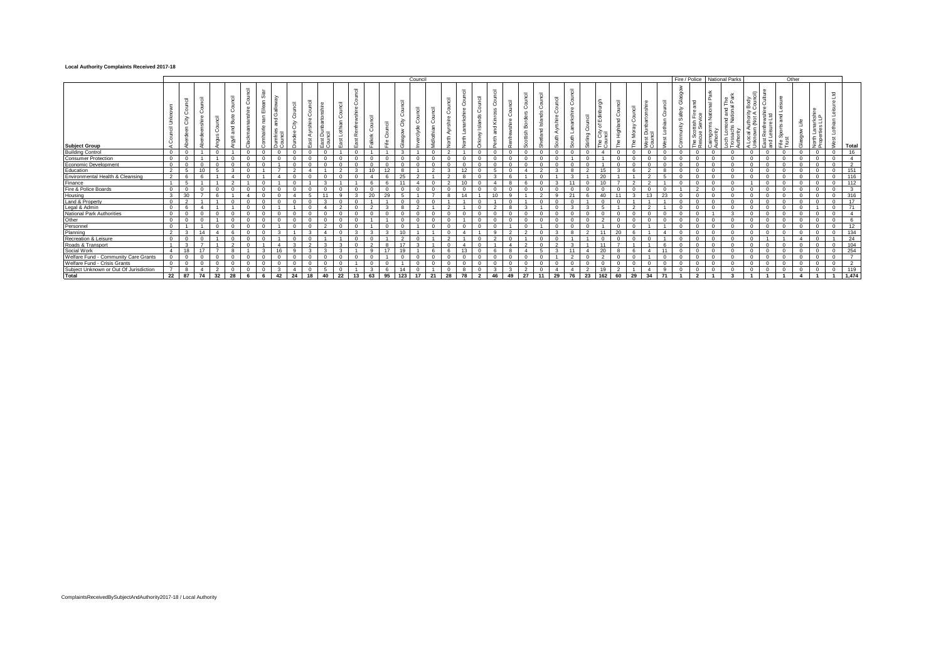#### **Local Authority Complaints Received 2017-18**

|                                                                                                                                             |          |    |    |           |          |    |    |    |    |                |    |    |     | Council |     |    |    |              |    |    |     |    |        |              |     |     |    |    |     |                  | Fire / Police National Parks |                              |   | Other    |          |          |                |
|---------------------------------------------------------------------------------------------------------------------------------------------|----------|----|----|-----------|----------|----|----|----|----|----------------|----|----|-----|---------|-----|----|----|--------------|----|----|-----|----|--------|--------------|-----|-----|----|----|-----|------------------|------------------------------|------------------------------|---|----------|----------|----------|----------------|
| <b>Subject Group</b>                                                                                                                        |          |    |    | <b>SC</b> |          |    |    |    |    | 궁<br>$\propto$ |    |    |     |         |     |    |    |              |    |    |     |    | 示<br>£ | $\mathbf{r}$ |     | ÷   |    |    |     |                  | ይ<br>ይ<br>and T<br>혼호        | . ن ۵.<br>uthority<br>(Not A | 를 | $\omega$ |          | ಾ        | Total          |
| <b>Building Control</b>                                                                                                                     | $\sim$   |    |    |           | $\Omega$ |    |    |    |    |                |    |    |     |         |     |    |    | $\Omega$     |    |    |     |    |        |              |     |     |    |    |     |                  |                              |                              |   |          | $\Omega$ |          | 16             |
| <b>Consumer Protection</b>                                                                                                                  |          |    |    |           |          |    |    |    |    |                |    |    |     |         |     |    |    | <sup>n</sup> |    |    |     |    |        |              |     |     |    |    |     |                  |                              |                              |   |          | $\Omega$ | $\Omega$ | $\overline{4}$ |
| Economic Development<br>Education                                                                                                           |          |    |    |           |          |    |    |    |    |                |    |    |     |         |     |    |    |              |    |    |     |    |        |              |     |     |    |    |     |                  |                              |                              |   |          | $\Omega$ |          | $\overline{2}$ |
|                                                                                                                                             |          |    |    |           |          |    |    |    |    |                |    |    |     |         |     |    |    |              |    |    |     |    |        |              |     |     |    |    |     |                  |                              |                              |   |          |          |          | 151            |
| Environmental Health & Cleansing                                                                                                            |          |    |    |           |          |    |    |    |    |                |    |    |     |         |     |    |    |              |    |    |     |    |        |              |     |     |    |    |     |                  |                              |                              |   |          |          |          | 116            |
|                                                                                                                                             |          |    |    |           |          |    |    |    |    |                |    |    |     |         |     |    |    |              |    |    |     |    |        |              |     |     |    |    |     |                  |                              |                              |   |          |          |          | 112            |
|                                                                                                                                             |          |    |    |           |          |    |    |    |    |                |    |    |     |         |     |    |    |              |    |    |     |    |        |              |     |     |    |    |     |                  |                              |                              |   |          |          |          | $\mathbf{R}$   |
|                                                                                                                                             | 20       |    |    |           |          |    |    |    |    |                |    |    |     |         |     |    |    |              |    |    |     |    |        |              |     |     |    |    | 22  |                  |                              |                              |   |          |          |          | 316            |
| Finance<br>Fire & Police Boards<br>Housing<br>Land & Property                                                                               |          |    |    |           |          |    |    |    |    |                |    |    |     |         |     |    |    |              |    |    |     |    |        |              |     |     |    |    |     |                  |                              |                              |   |          |          |          | 17             |
| Canto & Property<br>Legal & Admin<br>National Park Authorities<br>Other<br>Personnel<br>Raming<br>Recreation & Leisure<br>Roads & Transport |          |    |    |           |          |    |    |    |    |                |    |    |     |         |     |    |    |              |    |    |     |    |        |              |     |     |    |    |     |                  |                              |                              |   |          |          |          | 71             |
|                                                                                                                                             |          |    |    |           |          |    |    |    |    |                |    |    |     |         |     |    |    |              |    |    |     |    |        |              |     |     |    |    |     |                  |                              |                              |   |          |          |          |                |
|                                                                                                                                             |          |    |    |           |          |    |    |    |    |                |    |    |     |         |     |    |    |              |    |    |     |    |        |              |     |     |    |    |     |                  |                              |                              |   |          |          |          |                |
|                                                                                                                                             |          |    |    |           |          |    |    |    |    |                |    |    |     |         |     |    |    |              |    |    |     |    |        |              |     |     |    |    |     |                  |                              |                              |   |          |          |          | 12             |
|                                                                                                                                             |          |    |    |           |          |    |    |    |    |                |    |    |     |         |     |    |    |              |    |    |     |    |        |              |     |     |    |    |     |                  |                              |                              |   |          |          |          | 134            |
|                                                                                                                                             |          |    |    |           |          |    |    |    |    |                |    |    |     |         |     |    |    |              |    |    |     |    |        |              |     |     |    |    |     |                  |                              |                              |   |          |          |          | 24             |
|                                                                                                                                             |          |    |    |           |          |    |    |    |    |                |    |    |     |         |     |    |    |              |    |    |     |    |        |              |     |     |    |    |     |                  |                              |                              |   |          |          |          | 104            |
|                                                                                                                                             | 18       |    |    |           |          |    |    |    |    |                |    |    |     |         |     |    |    |              |    |    |     |    |        |              |     |     |    |    |     |                  |                              |                              |   |          | $\Omega$ |          | 254            |
|                                                                                                                                             |          |    |    |           |          |    |    |    |    |                |    |    |     |         |     |    |    |              |    |    |     |    |        |              |     |     |    |    |     |                  |                              |                              |   |          | $\Omega$ |          |                |
| Social Work<br>Welfare Fund - Community Care Grants<br>Welfare Fund - Crisis Grants                                                         |          |    |    |           | $\Omega$ |    |    |    |    |                |    |    |     |         |     |    |    |              |    |    |     |    |        |              |     |     |    |    |     |                  |                              |                              |   |          | $\Omega$ |          | $\mathcal{L}$  |
| Subject Unknown or Out Of Jurisdiction                                                                                                      |          |    |    |           |          |    |    |    |    |                |    |    |     |         |     |    |    |              |    |    |     |    |        |              |     |     |    |    |     |                  |                              |                              |   |          |          |          | 119            |
| <b>Total</b>                                                                                                                                | 22 87 74 | 32 | 28 |           | 42       | 24 | 18 | 40 | 22 | 13             | 63 | 95 | 123 | 17      | -21 | 28 | 78 | 46           | 49 | 27 | -11 | 29 | 76     | 23           | 162 | -60 | 29 | 34 | -71 | $\mathbf{\cdot}$ |                              |                              |   |          |          |          | 1.474          |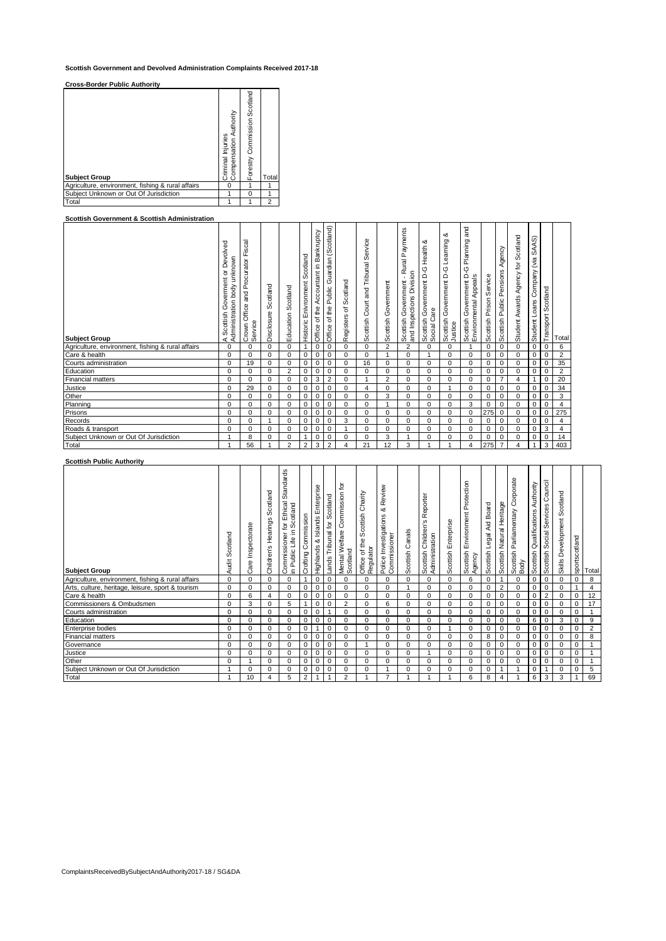**Scottish Government and Devolved Administration Complaints Received 2017-18**

**Cross-Border Public Authority**

| <b>Cross-Border Public Authority</b>              |                                                    |                              |                |
|---------------------------------------------------|----------------------------------------------------|------------------------------|----------------|
| <b>Subject Group</b>                              | Authority<br>Criminal Injuries<br>ompensation<br>Ō | Forestry Commission Scotland | Total          |
| Agriculture, environment, fishing & rural affairs | O                                                  |                              |                |
| Subiect Unknown or Out Of Jurisdiction            |                                                    | 0                            |                |
| Total                                             |                                                    |                              | $\overline{c}$ |

# **Scottish Government & Scottish Administration**<br> **Calculated and Administration**

| Scottish Government & Scottish Administration     |                                                                                 |                                                           |                        |                       |                                  |                                           |                                                   |                            |                                           |                        |                                                                           |                                                                    |                                                      |                                                                              |                         |                                       |                                       |                                           |                       |                |
|---------------------------------------------------|---------------------------------------------------------------------------------|-----------------------------------------------------------|------------------------|-----------------------|----------------------------------|-------------------------------------------|---------------------------------------------------|----------------------------|-------------------------------------------|------------------------|---------------------------------------------------------------------------|--------------------------------------------------------------------|------------------------------------------------------|------------------------------------------------------------------------------|-------------------------|---------------------------------------|---------------------------------------|-------------------------------------------|-----------------------|----------------|
| <b>Subject Group</b>                              | or Devolved<br>unknown<br>Governent<br>body<br>A Scottish Gov<br>Administration | Fiscal<br>Procurator<br>and<br>Office<br>Service<br>Crown | Scotland<br>Disclosure | Scotland<br>Education | Scotland<br>Historic Enivronment | Accountant in Bankruptcy<br>Office of the | Guardian (Scotland)<br>Public<br>of the<br>Office | Scotland<br>đ<br>Registers | Service<br>and Tribunal<br>Scottish Court | Government<br>Scottish | Payments<br>- Rural<br>and Inspections Division<br>Government<br>Scottish | య<br>Health<br>ں<br>ک<br>Government<br>Scottish Gov<br>Social Care | ంర<br>Learning<br>Scottish Government D-G<br>Justice | pue<br>Planning<br>ပု<br>Ó<br>Scottish Government D<br>Environmental Appeals | Scottish Prison Service | Agency<br>Pensions<br>Scottish Public | Agency for Scotland<br>Student Awards | SAAS)<br>Company (via<br>Loans<br>Student | Scotland<br>Transport | Total          |
| Agriculture, environment, fishing & rural affairs | $\mathbf 0$                                                                     | $\Omega$                                                  | $\Omega$               | 0                     | $\mathbf{1}$                     | 0                                         | 0                                                 | $\Omega$                   | $\Omega$                                  | $\overline{2}$         | $\overline{2}$                                                            | 0                                                                  | $\Omega$                                             |                                                                              | $\mathbf 0$             | $\mathbf 0$                           | $\Omega$                              | 0                                         | $\mathbf 0$           | 6              |
| Care & health                                     | $\mathbf 0$                                                                     | $\Omega$                                                  | 0                      | 0                     | 0                                | 0                                         | 0                                                 | 0                          | 0                                         | 1                      | 0                                                                         |                                                                    | $\Omega$                                             | $\Omega$                                                                     | 0                       | 0                                     | 0                                     | 0                                         | $\mathbf 0$           | $\overline{2}$ |
| Courts administration                             | $\mathbf 0$                                                                     | 19                                                        | 0                      | 0                     | $\mathbf 0$                      | 0                                         | $\mathbf 0$                                       | 0                          | 16                                        | 0                      | 0                                                                         | $\Omega$                                                           | $\Omega$                                             | 0                                                                            | 0                       | 0                                     | $\Omega$                              | 0                                         | $\mathbf 0$           | 35             |
| Education                                         | $\Omega$                                                                        | $\Omega$                                                  | $\Omega$               | $\overline{2}$        | $\mathbf 0$                      | $\mathbf 0$                               | 0                                                 | $\Omega$                   | $\Omega$                                  | $\Omega$               | $\Omega$                                                                  | $\Omega$                                                           | $\Omega$                                             | $\Omega$                                                                     | $\mathbf 0$             | 0                                     | $\Omega$                              | 0                                         | $\mathbf 0$           | $\overline{2}$ |
| <b>Financial matters</b>                          | $\mathbf 0$                                                                     | $\Omega$                                                  | 0                      | 0                     | 0                                | 3                                         | 2                                                 | 0                          | 1                                         | 2                      | 0                                                                         | 0                                                                  | 0                                                    | 0                                                                            | 0                       | $\overline{7}$                        | 4                                     |                                           | 0                     | 20             |
| Justice                                           | $\mathbf 0$                                                                     | 29                                                        | 0                      | 0                     | $\mathbf 0$                      | 0                                         | $\mathbf 0$                                       | $\Omega$                   | $\overline{4}$                            | 0                      | 0                                                                         | 0                                                                  |                                                      | $\Omega$                                                                     | 0                       | 0                                     | 0                                     | 0                                         | $\overline{0}$        | 34             |
| Other                                             | $\mathbf 0$                                                                     | $\Omega$                                                  | $\mathbf 0$            | $\mathbf 0$           | $\mathbf 0$                      | 0                                         | 0                                                 | $\Omega$                   | $\Omega$                                  | 3                      | $\Omega$                                                                  | $\Omega$                                                           | $\Omega$                                             | $\Omega$                                                                     | 0                       | 0                                     | $\Omega$                              | 0                                         | $\mathbf 0$           | 3              |
| Planning                                          | $\mathbf 0$                                                                     | $\Omega$                                                  | 0                      | 0                     | 0                                | 0                                         | 0                                                 | $\Omega$                   | 0                                         |                        | 0                                                                         | 0                                                                  | 0                                                    | 3                                                                            | 0                       | 0                                     | 0                                     | 0                                         | $\mathbf 0$           | 4              |
| Prisons                                           | $\mathbf 0$                                                                     | 0                                                         | 0                      | 0                     | $\mathbf 0$                      | 0                                         | 0                                                 | 0                          | 0                                         | 0                      | 0                                                                         | 0                                                                  | 0                                                    | 0                                                                            | 275                     | 0                                     | 0                                     | 0                                         | $\mathbf 0$           | 275            |
| Records                                           | $\Omega$                                                                        | $\Omega$                                                  | 1                      | 0                     | $\mathbf 0$                      | 0                                         | 0                                                 | 3                          | $\Omega$                                  | $\Omega$               | $\Omega$                                                                  | 0                                                                  | 0                                                    | 0                                                                            | 0                       | 0                                     | 0                                     | 0                                         | $\mathbf 0$           | 4              |
| Roads & transport                                 | $\mathbf 0$                                                                     | 0                                                         | 0                      | 0                     | 0                                | 0                                         | 0                                                 | 1                          | 0                                         | 0                      | 0                                                                         | 0                                                                  | 0                                                    | 0                                                                            | 0                       | 0                                     | 0                                     | 0                                         | 3                     | 4              |
| Subject Unknown or Out Of Jurisdiction            |                                                                                 | 8                                                         | $\Omega$               | $\Omega$              | $\overline{1}$                   | 0                                         | $\Omega$                                          | $\Omega$                   | $\Omega$                                  | 3                      |                                                                           | $\Omega$                                                           | $\Omega$                                             | $\Omega$                                                                     | 0                       | $\Omega$                              | $\Omega$                              | 0                                         | $\mathbf 0$           | 14             |
| Total                                             | $\overline{1}$                                                                  | 56                                                        | 1                      | $\overline{2}$        | $\overline{2}$                   | 3                                         | $\overline{2}$                                    | 4                          | 21                                        | 12                     | 3                                                                         |                                                                    |                                                      | 4                                                                            | 275                     | $\overline{7}$                        | 4                                     | 1                                         | 3                     | 403            |

## **Scottish Public Authority**

| <b>Subject Group</b>                              | cotland<br>Ō<br>Audit | Inspectorate<br>Care | Scotland<br>Hearings<br>Children's | Standards<br>Ethical<br>cotland<br>tor<br>Ξ<br>Commissioner<br>٩Ľ<br>in Public | Commission<br>Crofting | Enterprise<br>Islands<br>త<br>Highlands | Scotland<br>Tribunal for<br>Lands | ʻp<br>Commission<br>Mental Welfare (<br>Scotland | Charity<br>Scottish<br>of the<br>Regulator<br><b>Office</b> | & Review<br>Investigations<br>Police Investiga<br>Commissioner | Canals<br>Scottish | Reporter<br>Scottish Children's<br>Administration | Scottish Enterprise | Scottish Environment Protection<br>Agency | Board<br>Aid<br>egal<br>Scottish | Heritage<br>Natural<br>Scottish | Corporate<br>Parliamentary<br>Scottish<br>Body | Authority<br>Qualifications<br>Scottish | Council<br>Services<br>Social<br>Scottish | Scotland<br>Skills Development | sportscotland  | Total          |
|---------------------------------------------------|-----------------------|----------------------|------------------------------------|--------------------------------------------------------------------------------|------------------------|-----------------------------------------|-----------------------------------|--------------------------------------------------|-------------------------------------------------------------|----------------------------------------------------------------|--------------------|---------------------------------------------------|---------------------|-------------------------------------------|----------------------------------|---------------------------------|------------------------------------------------|-----------------------------------------|-------------------------------------------|--------------------------------|----------------|----------------|
| Agriculture, environment, fishing & rural affairs | 0                     | 0                    | $\Omega$                           | 0                                                                              |                        | $\mathbf 0$                             | 0                                 | 0                                                | $\Omega$                                                    | $\Omega$                                                       | 0                  | $\Omega$                                          | $\Omega$            | 6                                         | 0                                |                                 | $\Omega$                                       | $\mathbf 0$                             | 0                                         | 0                              | $\mathbf 0$    | 8              |
| Arts, culture, heritage, leisure, sport & tourism | 0                     | 0                    | 0                                  | 0                                                                              | 0                      | $\mathbf 0$                             | 0                                 | 0                                                | 0                                                           | 0                                                              |                    | 0                                                 | $\Omega$            | 0                                         | 0                                | $\overline{2}$                  | 0                                              | $\mathbf 0$                             | 0                                         | 0                              | $\overline{1}$ | $\overline{4}$ |
| Care & health                                     | 0                     | 6                    | $\overline{4}$                     | 0                                                                              | 0                      | $\mathbf 0$                             | 0                                 | 0                                                | 0                                                           | 0                                                              | $\Omega$           | 0                                                 | $\mathbf 0$         | 0                                         | 0                                | 0                               | 0                                              | 0                                       | 2                                         | 0                              | $\mathbf 0$    | 12             |
| Commissioners & Ombudsmen                         | $\Omega$              | 3                    | $\Omega$                           | 5                                                                              |                        | $\mathbf 0$                             | 0                                 | $\overline{2}$                                   | $\Omega$                                                    | 6                                                              | 0                  | $\Omega$                                          | $\Omega$            | $\Omega$                                  | 0                                | $\mathbf 0$                     | $\Omega$                                       | $\mathbf 0$                             | 0                                         | 0                              | $\mathbf 0$    | 17             |
| Courts administration                             | 0                     | $\Omega$             | $\mathbf 0$                        | 0                                                                              | 0                      | $\mathbf 0$                             |                                   | $\mathbf 0$                                      | 0                                                           | 0                                                              | 0                  | 0                                                 | $\Omega$            | 0                                         | 0                                | $\mathbf 0$                     | 0                                              | 0                                       | 0                                         | 0                              | $\mathbf 0$    |                |
| Education                                         | $\Omega$              | $\Omega$             | $\Omega$                           | $\Omega$                                                                       | 0                      | $\mathbf 0$                             | 0                                 | 0                                                | $\Omega$                                                    | $\Omega$                                                       | 0                  | $\Omega$                                          | $\Omega$            | $\Omega$                                  | 0                                | 0                               | 0                                              | 6                                       | 0                                         | 3                              | $\mathbf 0$    | 9              |
| <b>Enterprise bodies</b>                          | $\Omega$              | $\Omega$             | $\Omega$                           | $\Omega$                                                                       | 0                      | $\overline{1}$                          | 0                                 | 0                                                | $\Omega$                                                    | $\Omega$                                                       | 0                  | $\Omega$                                          |                     | $\Omega$                                  | 0                                | $\mathbf 0$                     | $\Omega$                                       | $\mathbf 0$                             | 0                                         | 0                              | $\mathbf 0$    | $\overline{2}$ |
| <b>Financial matters</b>                          | 0                     | 0                    | $\Omega$                           | 0                                                                              | 0                      | 0                                       | 0                                 | 0                                                | 0                                                           | 0                                                              | 0                  | $\Omega$                                          | $\Omega$            | $\Omega$                                  | 8                                | $\mathbf 0$                     | 0                                              | 0                                       | 0                                         | 0                              | 0              | 8              |
| Governance                                        | 0                     | $\Omega$             | $\mathbf 0$                        | 0                                                                              | 0                      | $\mathbf 0$                             | 0                                 | 0                                                |                                                             | 0                                                              | $\Omega$           | 0                                                 | $\Omega$            | 0                                         | 0                                | 0                               | 0                                              | 0                                       | 0                                         | 0                              | $\mathbf 0$    |                |
| Justice                                           | 0                     |                      | 0                                  | 0                                                                              | 0                      | 0                                       | 0                                 | 0                                                | 0                                                           | 0                                                              | $\Omega$           |                                                   | $\Omega$            | 0                                         | 0                                | 0                               | 0                                              | 0                                       | 0                                         | 0                              | $\mathbf 0$    |                |
| Other                                             | 0                     |                      | $\mathbf 0$                        | 0                                                                              | 0                      | $\mathbf 0$                             | 0                                 | 0                                                | 0                                                           | 0                                                              | $\Omega$           | 0                                                 | $\mathbf 0$         | 0                                         | 0                                | $\mathbf 0$                     | 0                                              | 0                                       | 0                                         | 0                              | $\mathbf 0$    |                |
| Subject Unknown or Out Of Jurisdiction            |                       | $\Omega$             | $\Omega$                           | 0                                                                              | 0                      | 0                                       | 0                                 | 0                                                | $\Omega$                                                    |                                                                | $\Omega$           | $\Omega$                                          | $\Omega$            | 0                                         | 0                                |                                 |                                                | 0                                       | 1                                         | 0                              | $\mathbf 0$    | 5              |
| Total                                             |                       | 10                   | 4                                  | 5                                                                              | $\overline{2}$         | $\mathbf{1}$                            |                                   | 2                                                |                                                             | 7                                                              |                    |                                                   |                     | 6                                         | 8                                | 4                               |                                                | 6                                       | 3                                         | 3                              | 1              | 69             |